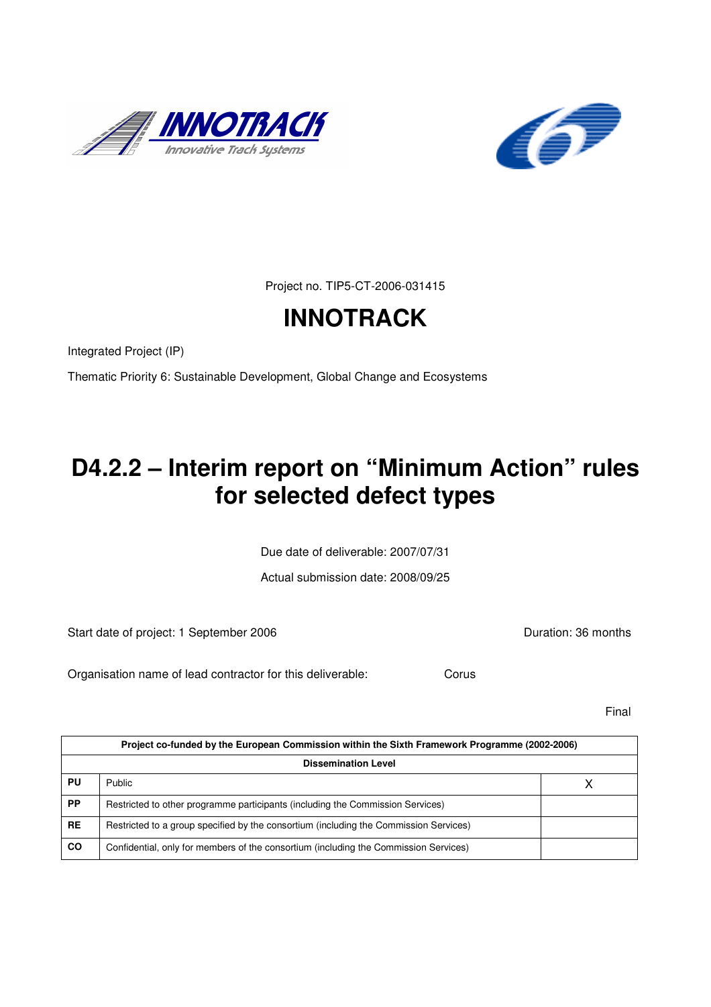



Project no. TIP5-CT-2006-031415

# **INNOTRACK**

Integrated Project (IP)

Thematic Priority 6: Sustainable Development, Global Change and Ecosystems

# **D4.2.2 – Interim report on "Minimum Action" rules for selected defect types**

Due date of deliverable: 2007/07/31

Actual submission date: 2008/09/25

Start date of project: 1 September 2006 **Duration: 36 months** 

Organisation name of lead contractor for this deliverable: Corus

Final

|                            | Project co-funded by the European Commission within the Sixth Framework Programme (2002-2006) |  |  |  |  |
|----------------------------|-----------------------------------------------------------------------------------------------|--|--|--|--|
| <b>Dissemination Level</b> |                                                                                               |  |  |  |  |
| PU                         | Public                                                                                        |  |  |  |  |
| <b>PP</b>                  | Restricted to other programme participants (including the Commission Services)                |  |  |  |  |
| <b>RE</b>                  | Restricted to a group specified by the consortium (including the Commission Services)         |  |  |  |  |
| <b>CO</b>                  | Confidential, only for members of the consortium (including the Commission Services)          |  |  |  |  |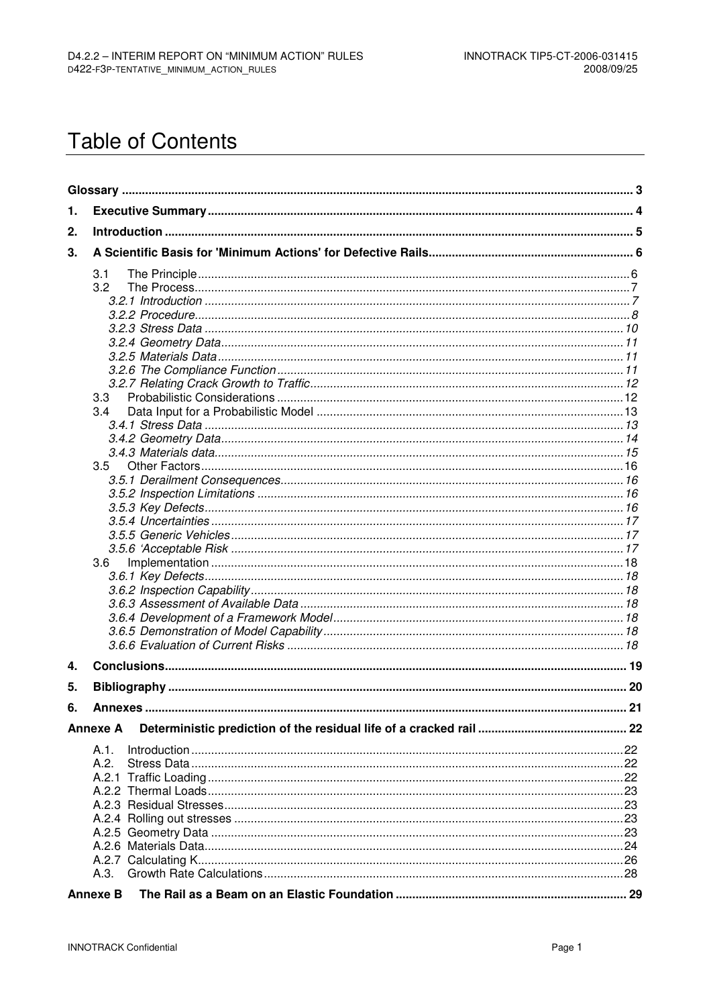# **Table of Contents**

| 1. |                 |  |
|----|-----------------|--|
| 2. |                 |  |
| 3. |                 |  |
|    | 3.1             |  |
|    | 3.2             |  |
|    |                 |  |
|    |                 |  |
|    |                 |  |
|    |                 |  |
|    |                 |  |
|    |                 |  |
|    |                 |  |
|    | 3.3             |  |
|    | 3.4             |  |
|    |                 |  |
|    |                 |  |
|    |                 |  |
|    | 3.5             |  |
|    |                 |  |
|    |                 |  |
|    |                 |  |
|    |                 |  |
|    |                 |  |
|    |                 |  |
|    | 3.6             |  |
|    |                 |  |
|    |                 |  |
|    |                 |  |
|    |                 |  |
|    |                 |  |
|    |                 |  |
| 4. |                 |  |
| 5. |                 |  |
| 6. |                 |  |
|    | <b>Annexe A</b> |  |
|    | A.1.            |  |
|    | A.2.            |  |
|    |                 |  |
|    |                 |  |
|    |                 |  |
|    |                 |  |
|    |                 |  |
|    |                 |  |
|    |                 |  |
|    |                 |  |
|    | <b>Annexe B</b> |  |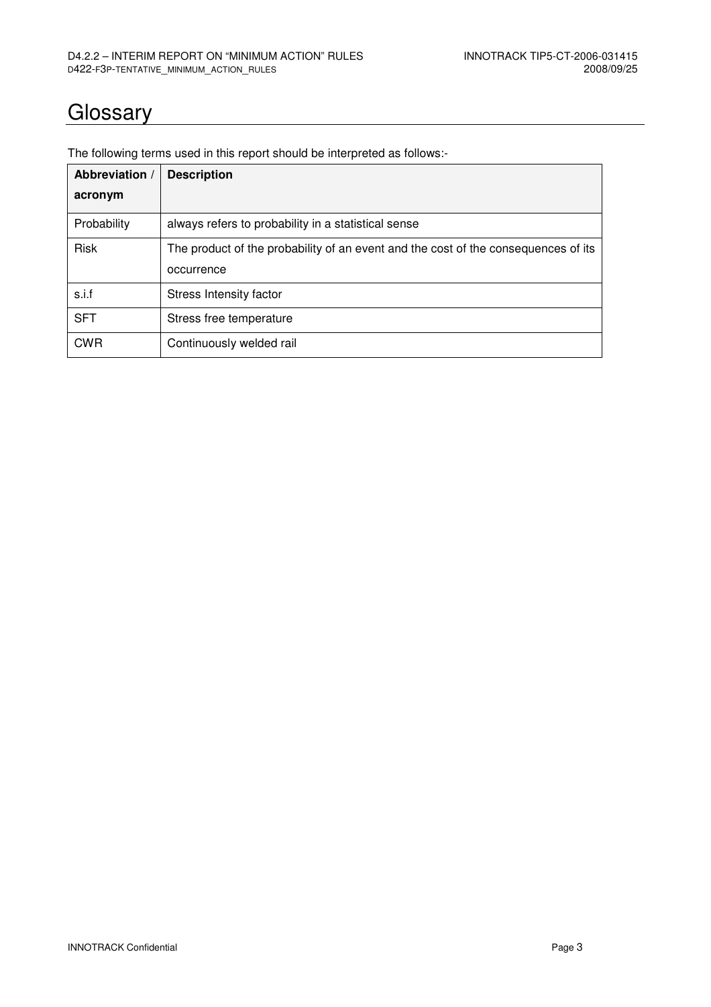## **Glossary**

| Abbreviation / | <b>Description</b>                                                                               |  |  |  |  |
|----------------|--------------------------------------------------------------------------------------------------|--|--|--|--|
| acronym        |                                                                                                  |  |  |  |  |
| Probability    | always refers to probability in a statistical sense                                              |  |  |  |  |
| <b>Risk</b>    | The product of the probability of an event and the cost of the consequences of its<br>occurrence |  |  |  |  |
| s.i.f          | Stress Intensity factor                                                                          |  |  |  |  |
| <b>SFT</b>     | Stress free temperature                                                                          |  |  |  |  |
| <b>CWR</b>     | Continuously welded rail                                                                         |  |  |  |  |

The following terms used in this report should be interpreted as follows:-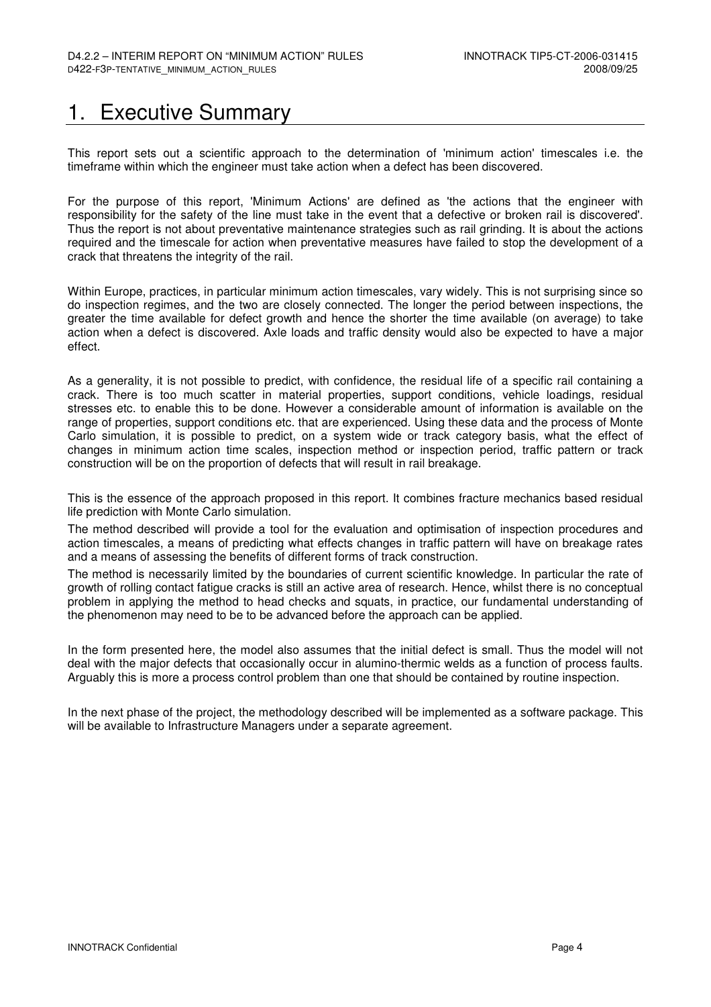## 1. Executive Summary

This report sets out a scientific approach to the determination of 'minimum action' timescales i.e. the timeframe within which the engineer must take action when a defect has been discovered.

For the purpose of this report, 'Minimum Actions' are defined as 'the actions that the engineer with responsibility for the safety of the line must take in the event that a defective or broken rail is discovered'. Thus the report is not about preventative maintenance strategies such as rail grinding. It is about the actions required and the timescale for action when preventative measures have failed to stop the development of a crack that threatens the integrity of the rail.

Within Europe, practices, in particular minimum action timescales, vary widely. This is not surprising since so do inspection regimes, and the two are closely connected. The longer the period between inspections, the greater the time available for defect growth and hence the shorter the time available (on average) to take action when a defect is discovered. Axle loads and traffic density would also be expected to have a major effect.

As a generality, it is not possible to predict, with confidence, the residual life of a specific rail containing a crack. There is too much scatter in material properties, support conditions, vehicle loadings, residual stresses etc. to enable this to be done. However a considerable amount of information is available on the range of properties, support conditions etc. that are experienced. Using these data and the process of Monte Carlo simulation, it is possible to predict, on a system wide or track category basis, what the effect of changes in minimum action time scales, inspection method or inspection period, traffic pattern or track construction will be on the proportion of defects that will result in rail breakage.

This is the essence of the approach proposed in this report. It combines fracture mechanics based residual life prediction with Monte Carlo simulation.

The method described will provide a tool for the evaluation and optimisation of inspection procedures and action timescales, a means of predicting what effects changes in traffic pattern will have on breakage rates and a means of assessing the benefits of different forms of track construction.

The method is necessarily limited by the boundaries of current scientific knowledge. In particular the rate of growth of rolling contact fatigue cracks is still an active area of research. Hence, whilst there is no conceptual problem in applying the method to head checks and squats, in practice, our fundamental understanding of the phenomenon may need to be to be advanced before the approach can be applied.

In the form presented here, the model also assumes that the initial defect is small. Thus the model will not deal with the major defects that occasionally occur in alumino-thermic welds as a function of process faults. Arguably this is more a process control problem than one that should be contained by routine inspection.

In the next phase of the project, the methodology described will be implemented as a software package. This will be available to Infrastructure Managers under a separate agreement.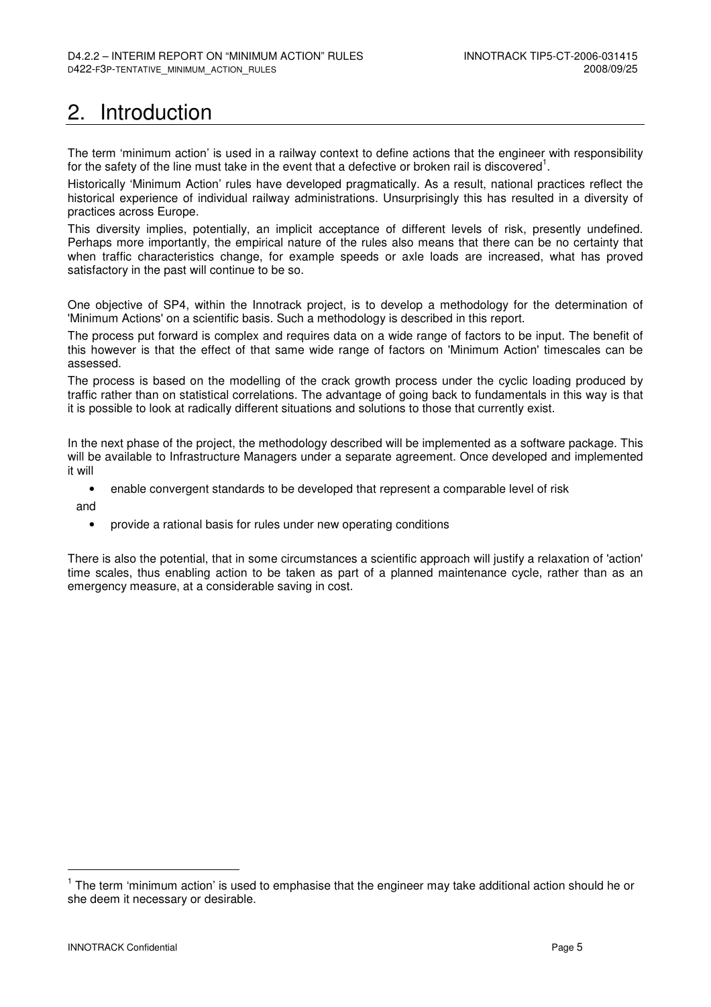# 2. Introduction

The term 'minimum action' is used in a railway context to define actions that the engineer with responsibility for the safety of the line must take in the event that a defective or broken rail is discovered<sup>1</sup>.

Historically 'Minimum Action' rules have developed pragmatically. As a result, national practices reflect the historical experience of individual railway administrations. Unsurprisingly this has resulted in a diversity of practices across Europe.

This diversity implies, potentially, an implicit acceptance of different levels of risk, presently undefined. Perhaps more importantly, the empirical nature of the rules also means that there can be no certainty that when traffic characteristics change, for example speeds or axle loads are increased, what has proved satisfactory in the past will continue to be so.

One objective of SP4, within the Innotrack project, is to develop a methodology for the determination of 'Minimum Actions' on a scientific basis. Such a methodology is described in this report.

The process put forward is complex and requires data on a wide range of factors to be input. The benefit of this however is that the effect of that same wide range of factors on 'Minimum Action' timescales can be assessed.

The process is based on the modelling of the crack growth process under the cyclic loading produced by traffic rather than on statistical correlations. The advantage of going back to fundamentals in this way is that it is possible to look at radically different situations and solutions to those that currently exist.

In the next phase of the project, the methodology described will be implemented as a software package. This will be available to Infrastructure Managers under a separate agreement. Once developed and implemented it will

• enable convergent standards to be developed that represent a comparable level of risk

and

• provide a rational basis for rules under new operating conditions

There is also the potential, that in some circumstances a scientific approach will justify a relaxation of 'action' time scales, thus enabling action to be taken as part of a planned maintenance cycle, rather than as an emergency measure, at a considerable saving in cost.

 $1$  The term 'minimum action' is used to emphasise that the engineer may take additional action should he or she deem it necessary or desirable.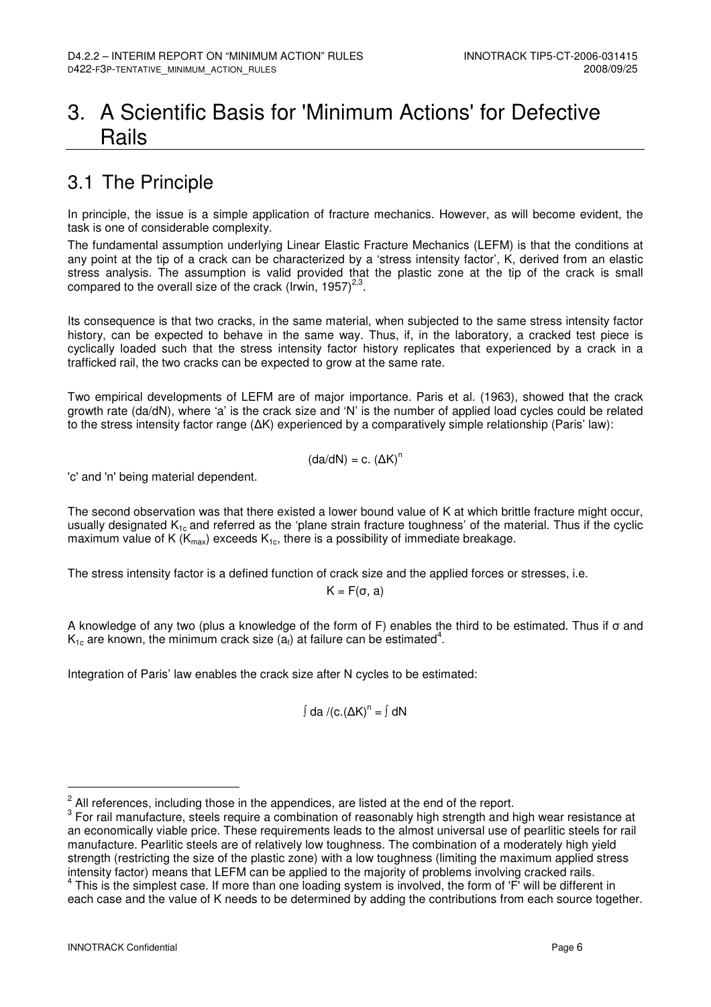## 3. A Scientific Basis for 'Minimum Actions' for Defective Rails

## 3.1 The Principle

In principle, the issue is a simple application of fracture mechanics. However, as will become evident, the task is one of considerable complexity.

The fundamental assumption underlying Linear Elastic Fracture Mechanics (LEFM) is that the conditions at any point at the tip of a crack can be characterized by a 'stress intensity factor', K, derived from an elastic stress analysis. The assumption is valid provided that the plastic zone at the tip of the crack is small compared to the overall size of the crack (Irwin, 1957) $^{2,3}$ .

Its consequence is that two cracks, in the same material, when subjected to the same stress intensity factor history, can be expected to behave in the same way. Thus, if, in the laboratory, a cracked test piece is cyclically loaded such that the stress intensity factor history replicates that experienced by a crack in a trafficked rail, the two cracks can be expected to grow at the same rate.

Two empirical developments of LEFM are of major importance. Paris et al. (1963), showed that the crack growth rate (da/dN), where 'a' is the crack size and 'N' is the number of applied load cycles could be related to the stress intensity factor range (∆K) experienced by a comparatively simple relationship (Paris' law):

$$
(da/dN) = c. (\Delta K)^n
$$

'c' and 'n' being material dependent.

The second observation was that there existed a lower bound value of K at which brittle fracture might occur, usually designated  $K_{1c}$  and referred as the 'plane strain fracture toughness' of the material. Thus if the cyclic maximum value of K ( $K_{\text{max}}$ ) exceeds  $K_{1c}$ , there is a possibility of immediate breakage.

The stress intensity factor is a defined function of crack size and the applied forces or stresses, i.e.

 $K = F(\sigma, a)$ 

A knowledge of any two (plus a knowledge of the form of F) enables the third to be estimated. Thus if σ and  $K_{1c}$  are known, the minimum crack size (a<sub>f</sub>) at failure can be estimated<sup>4</sup>.

Integration of Paris' law enables the crack size after N cycles to be estimated:

∫ da /(c.(ΔK)<sup>n</sup> = ∫ dN

 $2$  All references, including those in the appendices, are listed at the end of the report.

<sup>&</sup>lt;sup>3</sup> For rail manufacture, steels require a combination of reasonably high strength and high wear resistance at an economically viable price. These requirements leads to the almost universal use of pearlitic steels for rail manufacture. Pearlitic steels are of relatively low toughness. The combination of a moderately high yield strength (restricting the size of the plastic zone) with a low toughness (limiting the maximum applied stress intensity factor) means that LEFM can be applied to the majority of problems involving cracked rails.

<sup>&</sup>lt;sup>4</sup> This is the simplest case. If more than one loading system is involved, the form of 'F' will be different in each case and the value of K needs to be determined by adding the contributions from each source together.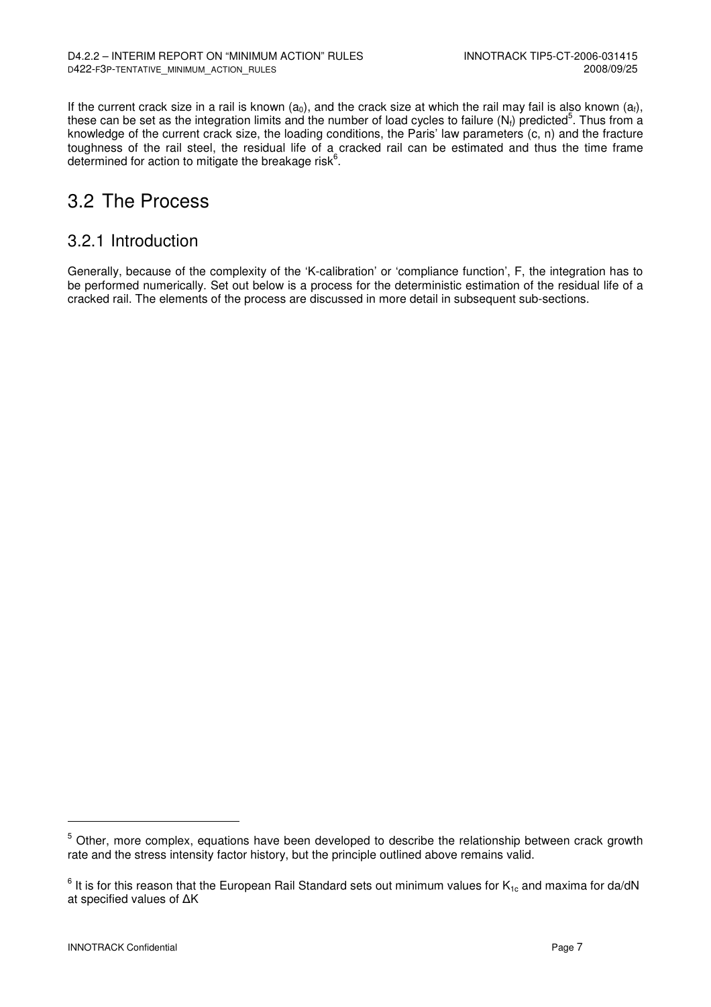If the current crack size in a rail is known (a<sub>0</sub>), and the crack size at which the rail may fail is also known (a<sub>t</sub>), these can be set as the integration limits and the number of load cycles to failure (N<sub>f</sub>) predicted<sup>5</sup>. Thus from a knowledge of the current crack size, the loading conditions, the Paris' law parameters (c, n) and the fracture toughness of the rail steel, the residual life of a cracked rail can be estimated and thus the time frame determined for action to mitigate the breakage risk $^6$ .

### 3.2 The Process

#### 3.2.1 Introduction

Generally, because of the complexity of the 'K-calibration' or 'compliance function', F, the integration has to be performed numerically. Set out below is a process for the deterministic estimation of the residual life of a cracked rail. The elements of the process are discussed in more detail in subsequent sub-sections.

<sup>&</sup>lt;sup>5</sup> Other, more complex, equations have been developed to describe the relationship between crack growth rate and the stress intensity factor history, but the principle outlined above remains valid.

 $^6$  It is for this reason that the European Rail Standard sets out minimum values for  $K_{1c}$  and maxima for da/dN at specified values of ∆K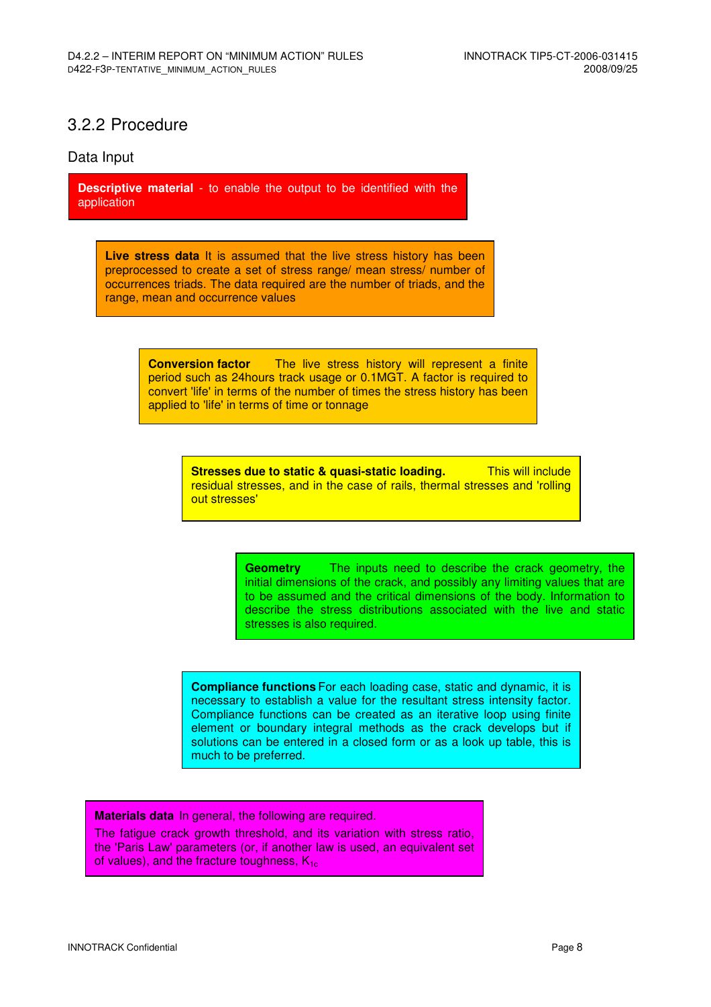#### 3.2.2 Procedure

#### Data Input

**Descriptive material** - to enable the output to be identified with the application

**Live stress data** It is assumed that the live stress history has been preprocessed to create a set of stress range/ mean stress/ number of occurrences triads. The data required are the number of triads, and the range, mean and occurrence values

> **Conversion factor** The live stress history will represent a finite period such as 24hours track usage or 0.1MGT. A factor is required to convert 'life' in terms of the number of times the stress history has been applied to 'life' in terms of time or tonnage

> > **Stresses due to static & quasi-static loading.** This will include residual stresses, and in the case of rails, thermal stresses and 'rolling out stresses'

> > > **Geometry** The inputs need to describe the crack geometry, the initial dimensions of the crack, and possibly any limiting values that are to be assumed and the critical dimensions of the body. Information to describe the stress distributions associated with the live and static stresses is also required.

**Compliance functions** For each loading case, static and dynamic, it is necessary to establish a value for the resultant stress intensity factor. Compliance functions can be created as an iterative loop using finite element or boundary integral methods as the crack develops but if solutions can be entered in a closed form or as a look up table, this is much to be preferred.

**Materials data** In general, the following are required.

The fatigue crack growth threshold, and its variation with stress ratio, the 'Paris Law' parameters (or, if another law is used, an equivalent set of values), and the fracture toughness,  $K_{1c}$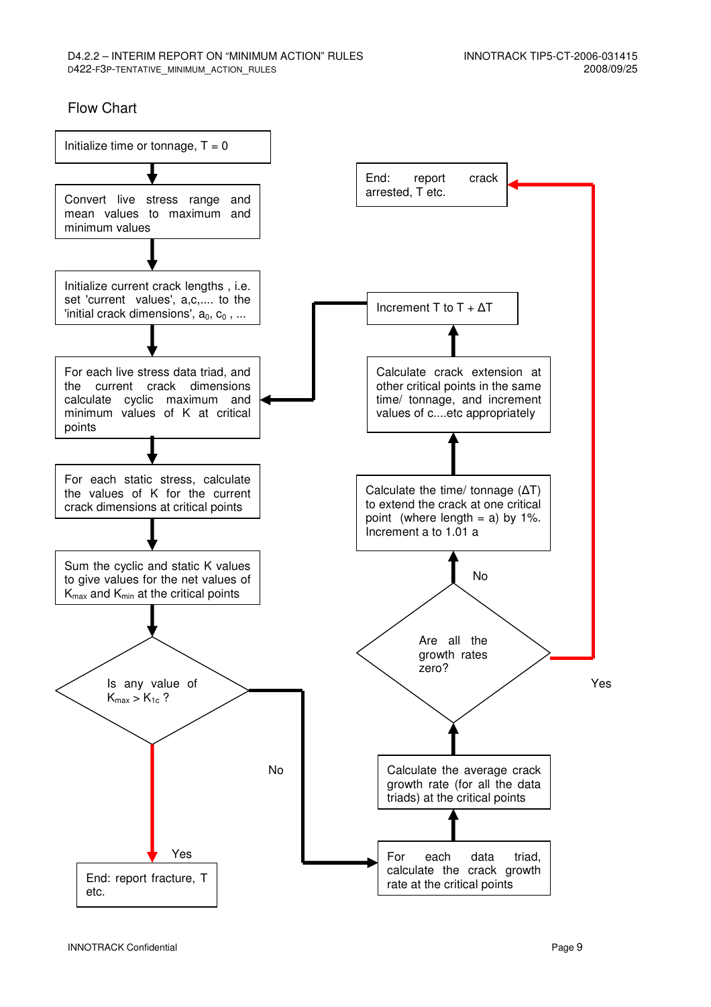#### Flow Chart

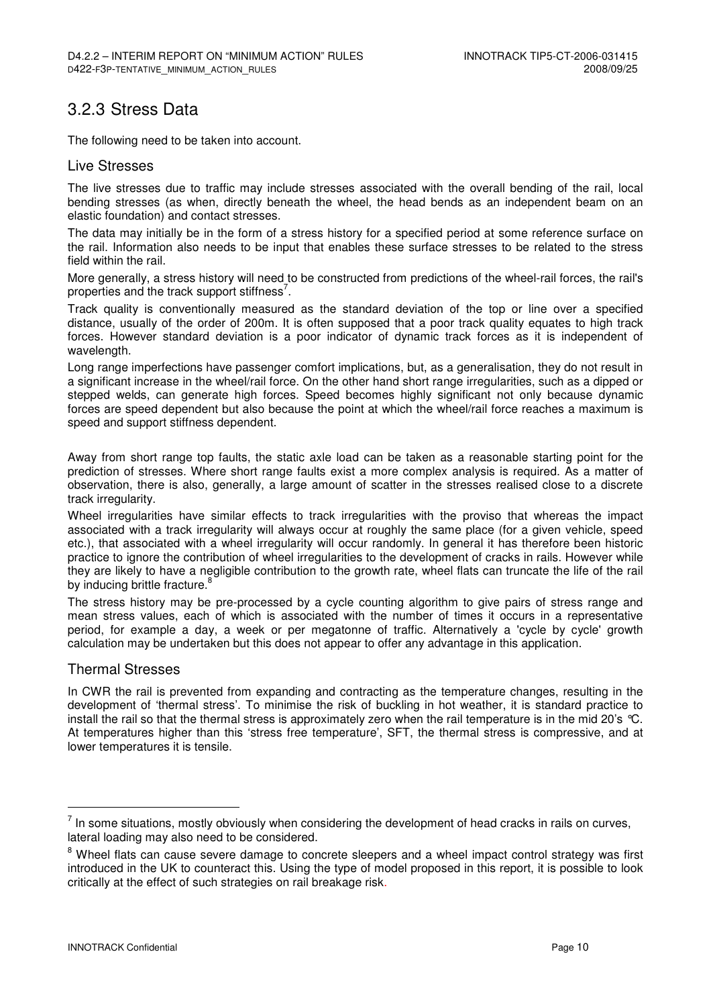### 3.2.3 Stress Data

The following need to be taken into account.

#### Live Stresses

The live stresses due to traffic may include stresses associated with the overall bending of the rail, local bending stresses (as when, directly beneath the wheel, the head bends as an independent beam on an elastic foundation) and contact stresses.

The data may initially be in the form of a stress history for a specified period at some reference surface on the rail. Information also needs to be input that enables these surface stresses to be related to the stress field within the rail.

More generally, a stress history will need to be constructed from predictions of the wheel-rail forces, the rail's properties and the track support stiffness<sup>7</sup>.

Track quality is conventionally measured as the standard deviation of the top or line over a specified distance, usually of the order of 200m. It is often supposed that a poor track quality equates to high track forces. However standard deviation is a poor indicator of dynamic track forces as it is independent of wavelength.

Long range imperfections have passenger comfort implications, but, as a generalisation, they do not result in a significant increase in the wheel/rail force. On the other hand short range irregularities, such as a dipped or stepped welds, can generate high forces. Speed becomes highly significant not only because dynamic forces are speed dependent but also because the point at which the wheel/rail force reaches a maximum is speed and support stiffness dependent.

Away from short range top faults, the static axle load can be taken as a reasonable starting point for the prediction of stresses. Where short range faults exist a more complex analysis is required. As a matter of observation, there is also, generally, a large amount of scatter in the stresses realised close to a discrete track irregularity.

Wheel irregularities have similar effects to track irregularities with the proviso that whereas the impact associated with a track irregularity will always occur at roughly the same place (for a given vehicle, speed etc.), that associated with a wheel irregularity will occur randomly. In general it has therefore been historic practice to ignore the contribution of wheel irregularities to the development of cracks in rails. However while they are likely to have a negligible contribution to the growth rate, wheel flats can truncate the life of the rail by inducing brittle fracture.<sup>8</sup>

The stress history may be pre-processed by a cycle counting algorithm to give pairs of stress range and mean stress values, each of which is associated with the number of times it occurs in a representative period, for example a day, a week or per megatonne of traffic. Alternatively a 'cycle by cycle' growth calculation may be undertaken but this does not appear to offer any advantage in this application.

#### Thermal Stresses

In CWR the rail is prevented from expanding and contracting as the temperature changes, resulting in the development of 'thermal stress'. To minimise the risk of buckling in hot weather, it is standard practice to install the rail so that the thermal stress is approximately zero when the rail temperature is in the mid 20's °C. At temperatures higher than this 'stress free temperature', SFT, the thermal stress is compressive, and at lower temperatures it is tensile.

 $<sup>7</sup>$  In some situations, mostly obviously when considering the development of head cracks in rails on curves,</sup> lateral loading may also need to be considered.

<sup>&</sup>lt;sup>8</sup> Wheel flats can cause severe damage to concrete sleepers and a wheel impact control strategy was first introduced in the UK to counteract this. Using the type of model proposed in this report, it is possible to look critically at the effect of such strategies on rail breakage risk.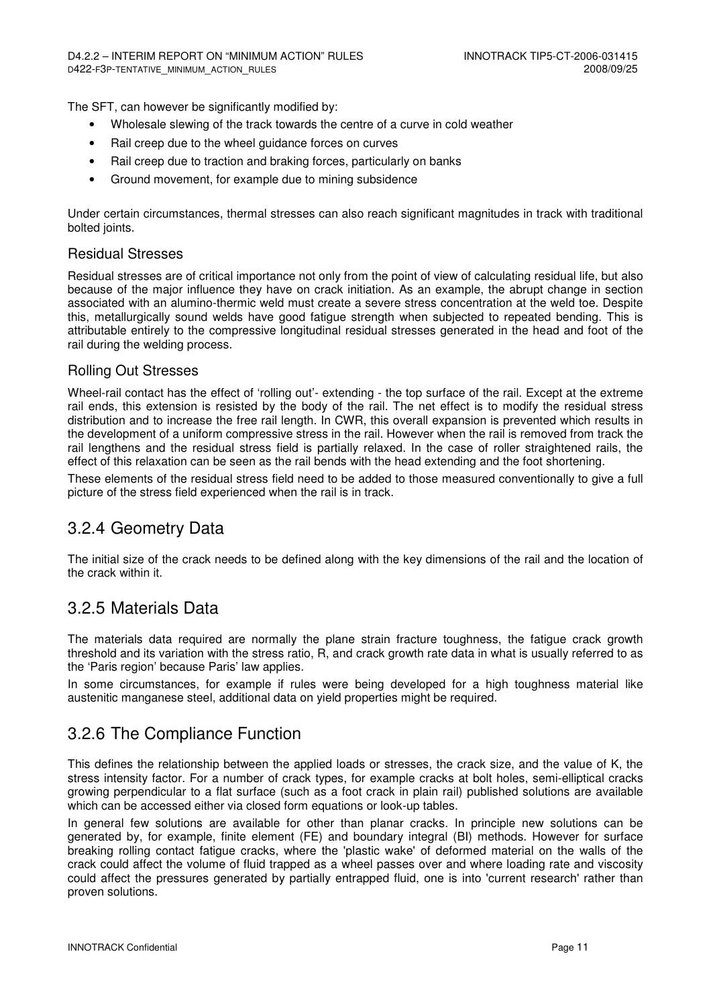The SFT, can however be significantly modified by:

- Wholesale slewing of the track towards the centre of a curve in cold weather
- Rail creep due to the wheel guidance forces on curves
- Rail creep due to traction and braking forces, particularly on banks
- Ground movement, for example due to mining subsidence

Under certain circumstances, thermal stresses can also reach significant magnitudes in track with traditional bolted joints.

#### Residual Stresses

Residual stresses are of critical importance not only from the point of view of calculating residual life, but also because of the major influence they have on crack initiation. As an example, the abrupt change in section associated with an alumino-thermic weld must create a severe stress concentration at the weld toe. Despite this, metallurgically sound welds have good fatigue strength when subjected to repeated bending. This is attributable entirely to the compressive longitudinal residual stresses generated in the head and foot of the rail during the welding process.

#### Rolling Out Stresses

Wheel-rail contact has the effect of 'rolling out'- extending - the top surface of the rail. Except at the extreme rail ends, this extension is resisted by the body of the rail. The net effect is to modify the residual stress distribution and to increase the free rail length. In CWR, this overall expansion is prevented which results in the development of a uniform compressive stress in the rail. However when the rail is removed from track the rail lengthens and the residual stress field is partially relaxed. In the case of roller straightened rails, the effect of this relaxation can be seen as the rail bends with the head extending and the foot shortening.

These elements of the residual stress field need to be added to those measured conventionally to give a full picture of the stress field experienced when the rail is in track.

#### 3.2.4 Geometry Data

The initial size of the crack needs to be defined along with the key dimensions of the rail and the location of the crack within it.

#### 3.2.5 Materials Data

The materials data required are normally the plane strain fracture toughness, the fatigue crack growth threshold and its variation with the stress ratio, R, and crack growth rate data in what is usually referred to as the 'Paris region' because Paris' law applies.

In some circumstances, for example if rules were being developed for a high toughness material like austenitic manganese steel, additional data on yield properties might be required.

#### 3.2.6 The Compliance Function

This defines the relationship between the applied loads or stresses, the crack size, and the value of K, the stress intensity factor. For a number of crack types, for example cracks at bolt holes, semi-elliptical cracks growing perpendicular to a flat surface (such as a foot crack in plain rail) published solutions are available which can be accessed either via closed form equations or look-up tables.

In general few solutions are available for other than planar cracks. In principle new solutions can be generated by, for example, finite element (FE) and boundary integral (BI) methods. However for surface breaking rolling contact fatigue cracks, where the 'plastic wake' of deformed material on the walls of the crack could affect the volume of fluid trapped as a wheel passes over and where loading rate and viscosity could affect the pressures generated by partially entrapped fluid, one is into 'current research' rather than proven solutions.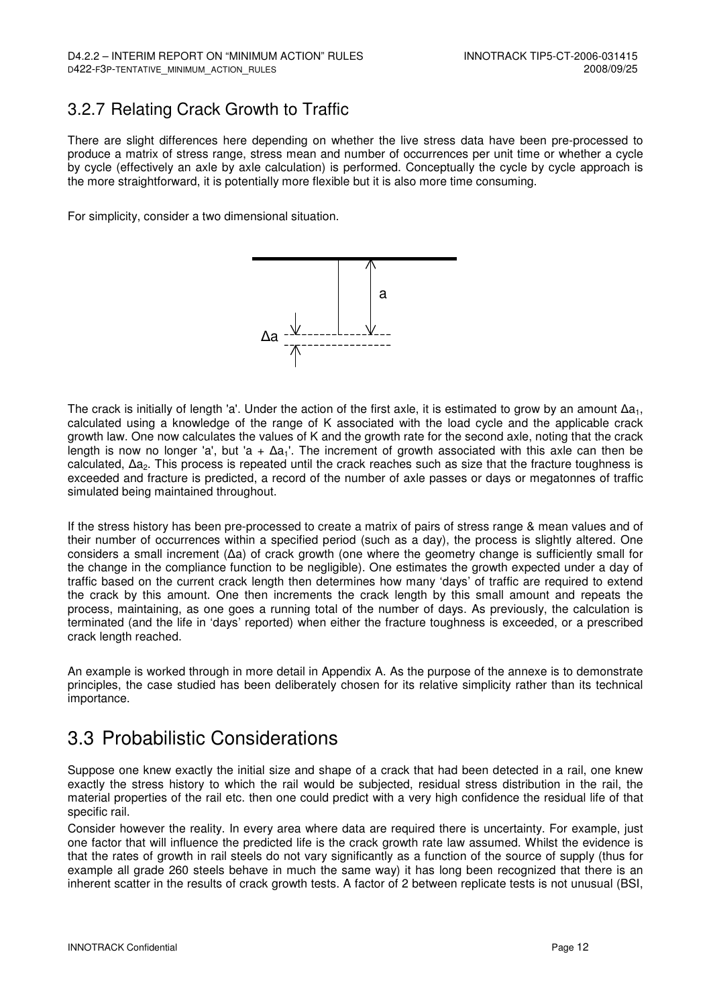### 3.2.7 Relating Crack Growth to Traffic

There are slight differences here depending on whether the live stress data have been pre-processed to produce a matrix of stress range, stress mean and number of occurrences per unit time or whether a cycle by cycle (effectively an axle by axle calculation) is performed. Conceptually the cycle by cycle approach is the more straightforward, it is potentially more flexible but it is also more time consuming.

For simplicity, consider a two dimensional situation.



The crack is initially of length 'a'. Under the action of the first axle, it is estimated to grow by an amount  $\Delta a_1$ , calculated using a knowledge of the range of K associated with the load cycle and the applicable crack growth law. One now calculates the values of K and the growth rate for the second axle, noting that the crack length is now no longer 'a', but 'a +  $\Delta a_1$ '. The increment of growth associated with this axle can then be calculated, ∆a2. This process is repeated until the crack reaches such as size that the fracture toughness is exceeded and fracture is predicted, a record of the number of axle passes or days or megatonnes of traffic simulated being maintained throughout.

If the stress history has been pre-processed to create a matrix of pairs of stress range & mean values and of their number of occurrences within a specified period (such as a day), the process is slightly altered. One considers a small increment (∆a) of crack growth (one where the geometry change is sufficiently small for the change in the compliance function to be negligible). One estimates the growth expected under a day of traffic based on the current crack length then determines how many 'days' of traffic are required to extend the crack by this amount. One then increments the crack length by this small amount and repeats the process, maintaining, as one goes a running total of the number of days. As previously, the calculation is terminated (and the life in 'days' reported) when either the fracture toughness is exceeded, or a prescribed crack length reached.

An example is worked through in more detail in Appendix A. As the purpose of the annexe is to demonstrate principles, the case studied has been deliberately chosen for its relative simplicity rather than its technical importance.

### 3.3 Probabilistic Considerations

Suppose one knew exactly the initial size and shape of a crack that had been detected in a rail, one knew exactly the stress history to which the rail would be subjected, residual stress distribution in the rail, the material properties of the rail etc. then one could predict with a very high confidence the residual life of that specific rail.

Consider however the reality. In every area where data are required there is uncertainty. For example, just one factor that will influence the predicted life is the crack growth rate law assumed. Whilst the evidence is that the rates of growth in rail steels do not vary significantly as a function of the source of supply (thus for example all grade 260 steels behave in much the same way) it has long been recognized that there is an inherent scatter in the results of crack growth tests. A factor of 2 between replicate tests is not unusual (BSI,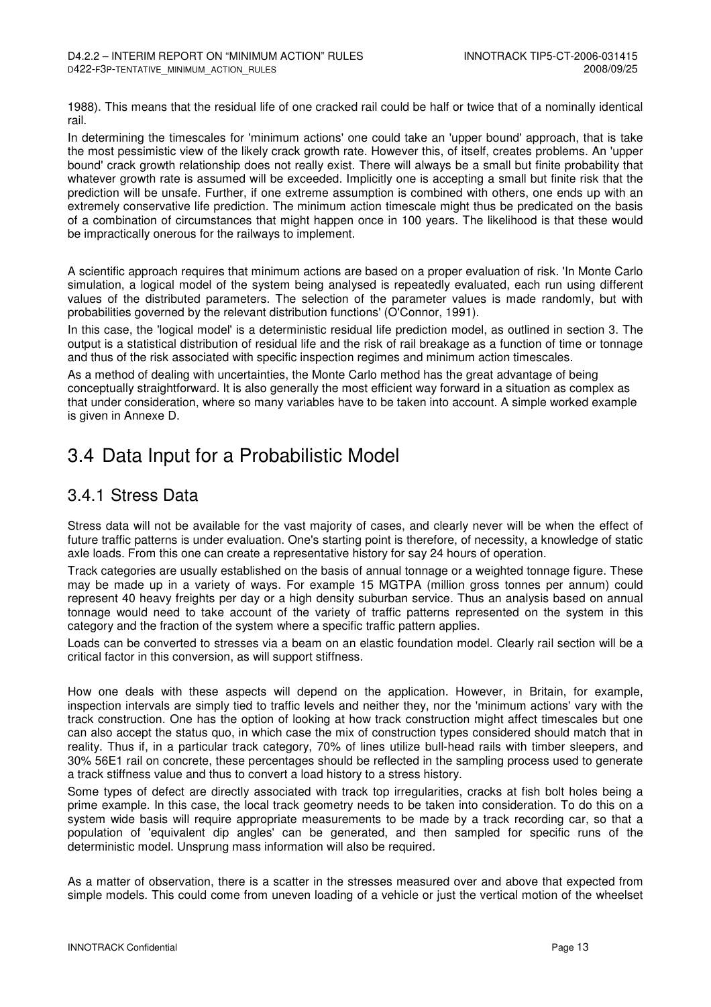1988). This means that the residual life of one cracked rail could be half or twice that of a nominally identical rail.

In determining the timescales for 'minimum actions' one could take an 'upper bound' approach, that is take the most pessimistic view of the likely crack growth rate. However this, of itself, creates problems. An 'upper bound' crack growth relationship does not really exist. There will always be a small but finite probability that whatever growth rate is assumed will be exceeded. Implicitly one is accepting a small but finite risk that the prediction will be unsafe. Further, if one extreme assumption is combined with others, one ends up with an extremely conservative life prediction. The minimum action timescale might thus be predicated on the basis of a combination of circumstances that might happen once in 100 years. The likelihood is that these would be impractically onerous for the railways to implement.

A scientific approach requires that minimum actions are based on a proper evaluation of risk. 'In Monte Carlo simulation, a logical model of the system being analysed is repeatedly evaluated, each run using different values of the distributed parameters. The selection of the parameter values is made randomly, but with probabilities governed by the relevant distribution functions' (O'Connor, 1991).

In this case, the 'logical model' is a deterministic residual life prediction model, as outlined in section 3. The output is a statistical distribution of residual life and the risk of rail breakage as a function of time or tonnage and thus of the risk associated with specific inspection regimes and minimum action timescales.

As a method of dealing with uncertainties, the Monte Carlo method has the great advantage of being conceptually straightforward. It is also generally the most efficient way forward in a situation as complex as that under consideration, where so many variables have to be taken into account. A simple worked example is given in Annexe D.

### 3.4 Data Input for a Probabilistic Model

### 3.4.1 Stress Data

Stress data will not be available for the vast majority of cases, and clearly never will be when the effect of future traffic patterns is under evaluation. One's starting point is therefore, of necessity, a knowledge of static axle loads. From this one can create a representative history for say 24 hours of operation.

Track categories are usually established on the basis of annual tonnage or a weighted tonnage figure. These may be made up in a variety of ways. For example 15 MGTPA (million gross tonnes per annum) could represent 40 heavy freights per day or a high density suburban service. Thus an analysis based on annual tonnage would need to take account of the variety of traffic patterns represented on the system in this category and the fraction of the system where a specific traffic pattern applies.

Loads can be converted to stresses via a beam on an elastic foundation model. Clearly rail section will be a critical factor in this conversion, as will support stiffness.

How one deals with these aspects will depend on the application. However, in Britain, for example, inspection intervals are simply tied to traffic levels and neither they, nor the 'minimum actions' vary with the track construction. One has the option of looking at how track construction might affect timescales but one can also accept the status quo, in which case the mix of construction types considered should match that in reality. Thus if, in a particular track category, 70% of lines utilize bull-head rails with timber sleepers, and 30% 56E1 rail on concrete, these percentages should be reflected in the sampling process used to generate a track stiffness value and thus to convert a load history to a stress history.

Some types of defect are directly associated with track top irregularities, cracks at fish bolt holes being a prime example. In this case, the local track geometry needs to be taken into consideration. To do this on a system wide basis will require appropriate measurements to be made by a track recording car, so that a population of 'equivalent dip angles' can be generated, and then sampled for specific runs of the deterministic model. Unsprung mass information will also be required.

As a matter of observation, there is a scatter in the stresses measured over and above that expected from simple models. This could come from uneven loading of a vehicle or just the vertical motion of the wheelset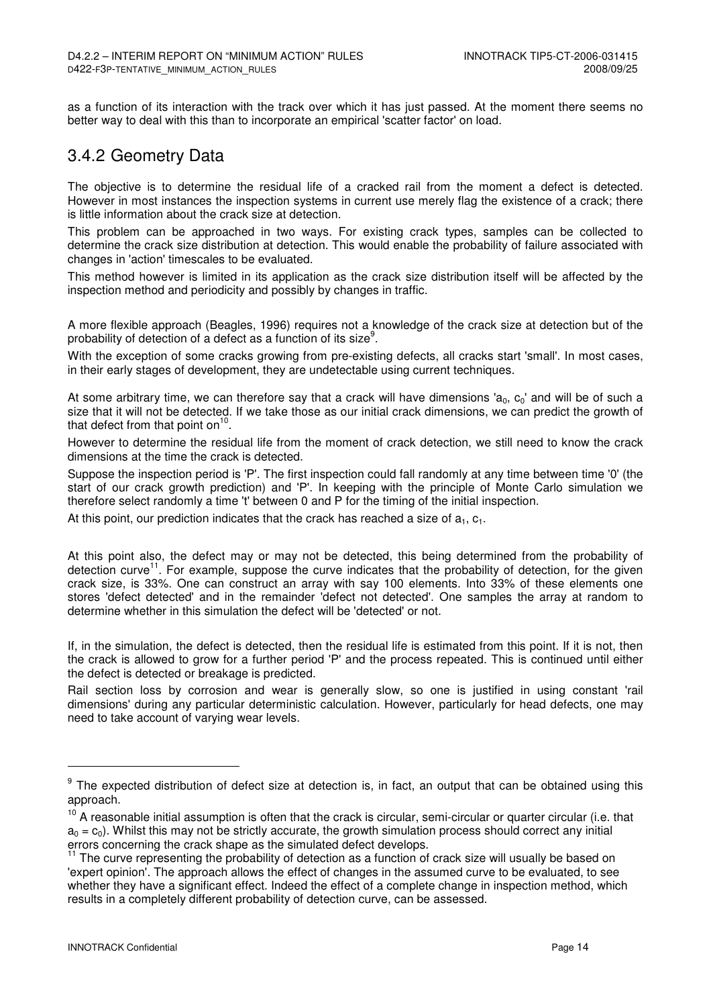as a function of its interaction with the track over which it has just passed. At the moment there seems no better way to deal with this than to incorporate an empirical 'scatter factor' on load.

### 3.4.2 Geometry Data

The objective is to determine the residual life of a cracked rail from the moment a defect is detected. However in most instances the inspection systems in current use merely flag the existence of a crack; there is little information about the crack size at detection.

This problem can be approached in two ways. For existing crack types, samples can be collected to determine the crack size distribution at detection. This would enable the probability of failure associated with changes in 'action' timescales to be evaluated.

This method however is limited in its application as the crack size distribution itself will be affected by the inspection method and periodicity and possibly by changes in traffic.

A more flexible approach (Beagles, 1996) requires not a knowledge of the crack size at detection but of the probability of detection of a defect as a function of its size<sup>9</sup>.

With the exception of some cracks growing from pre-existing defects, all cracks start 'small'. In most cases, in their early stages of development, they are undetectable using current techniques.

At some arbitrary time, we can therefore say that a crack will have dimensions 'a<sub>0</sub>, c<sub>0</sub>' and will be of such a size that it will not be detected. If we take those as our initial crack dimensions, we can predict the growth of that defect from that point on<sup>10</sup>.

However to determine the residual life from the moment of crack detection, we still need to know the crack dimensions at the time the crack is detected.

Suppose the inspection period is 'P'. The first inspection could fall randomly at any time between time '0' (the start of our crack growth prediction) and 'P'. In keeping with the principle of Monte Carlo simulation we therefore select randomly a time 't' between 0 and P for the timing of the initial inspection.

At this point, our prediction indicates that the crack has reached a size of  $a_1, c_1$ .

At this point also, the defect may or may not be detected, this being determined from the probability of detection curve<sup>11</sup>. For example, suppose the curve indicates that the probability of detection, for the given crack size, is 33%. One can construct an array with say 100 elements. Into 33% of these elements one stores 'defect detected' and in the remainder 'defect not detected'. One samples the array at random to determine whether in this simulation the defect will be 'detected' or not.

If, in the simulation, the defect is detected, then the residual life is estimated from this point. If it is not, then the crack is allowed to grow for a further period 'P' and the process repeated. This is continued until either the defect is detected or breakage is predicted.

Rail section loss by corrosion and wear is generally slow, so one is justified in using constant 'rail dimensions' during any particular deterministic calculation. However, particularly for head defects, one may need to take account of varying wear levels.

<sup>&</sup>lt;sup>9</sup> The expected distribution of defect size at detection is, in fact, an output that can be obtained using this approach.

<sup>&</sup>lt;sup>10</sup> A reasonable initial assumption is often that the crack is circular, semi-circular or quarter circular (i.e. that  $a_0 = c_0$ ). Whilst this may not be strictly accurate, the growth simulation process should correct any initial errors concerning the crack shape as the simulated defect develops.

<sup>&</sup>lt;sup>11</sup> The curve representing the probability of detection as a function of crack size will usually be based on 'expert opinion'. The approach allows the effect of changes in the assumed curve to be evaluated, to see whether they have a significant effect. Indeed the effect of a complete change in inspection method, which results in a completely different probability of detection curve, can be assessed.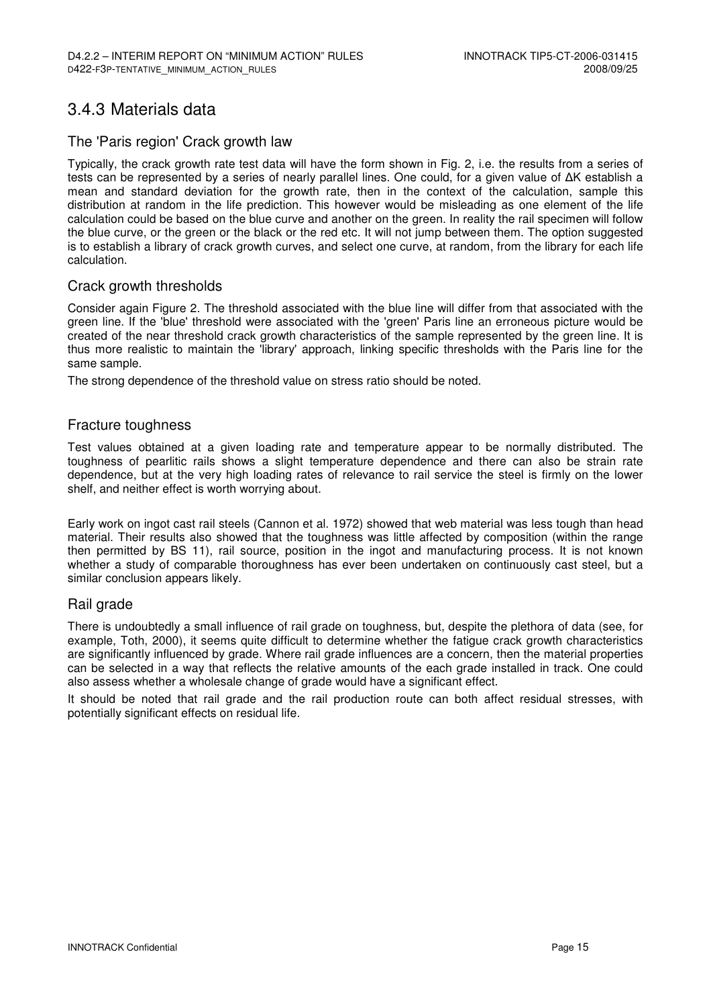### 3.4.3 Materials data

#### The 'Paris region' Crack growth law

Typically, the crack growth rate test data will have the form shown in Fig. 2, i.e. the results from a series of tests can be represented by a series of nearly parallel lines. One could, for a given value of ΔK establish a mean and standard deviation for the growth rate, then in the context of the calculation, sample this distribution at random in the life prediction. This however would be misleading as one element of the life calculation could be based on the blue curve and another on the green. In reality the rail specimen will follow the blue curve, or the green or the black or the red etc. It will not jump between them. The option suggested is to establish a library of crack growth curves, and select one curve, at random, from the library for each life calculation.

#### Crack growth thresholds

Consider again Figure 2. The threshold associated with the blue line will differ from that associated with the green line. If the 'blue' threshold were associated with the 'green' Paris line an erroneous picture would be created of the near threshold crack growth characteristics of the sample represented by the green line. It is thus more realistic to maintain the 'library' approach, linking specific thresholds with the Paris line for the same sample.

The strong dependence of the threshold value on stress ratio should be noted.

#### Fracture toughness

Test values obtained at a given loading rate and temperature appear to be normally distributed. The toughness of pearlitic rails shows a slight temperature dependence and there can also be strain rate dependence, but at the very high loading rates of relevance to rail service the steel is firmly on the lower shelf, and neither effect is worth worrying about.

Early work on ingot cast rail steels (Cannon et al. 1972) showed that web material was less tough than head material. Their results also showed that the toughness was little affected by composition (within the range then permitted by BS 11), rail source, position in the ingot and manufacturing process. It is not known whether a study of comparable thoroughness has ever been undertaken on continuously cast steel, but a similar conclusion appears likely.

#### Rail grade

There is undoubtedly a small influence of rail grade on toughness, but, despite the plethora of data (see, for example, Toth, 2000), it seems quite difficult to determine whether the fatigue crack growth characteristics are significantly influenced by grade. Where rail grade influences are a concern, then the material properties can be selected in a way that reflects the relative amounts of the each grade installed in track. One could also assess whether a wholesale change of grade would have a significant effect.

It should be noted that rail grade and the rail production route can both affect residual stresses, with potentially significant effects on residual life.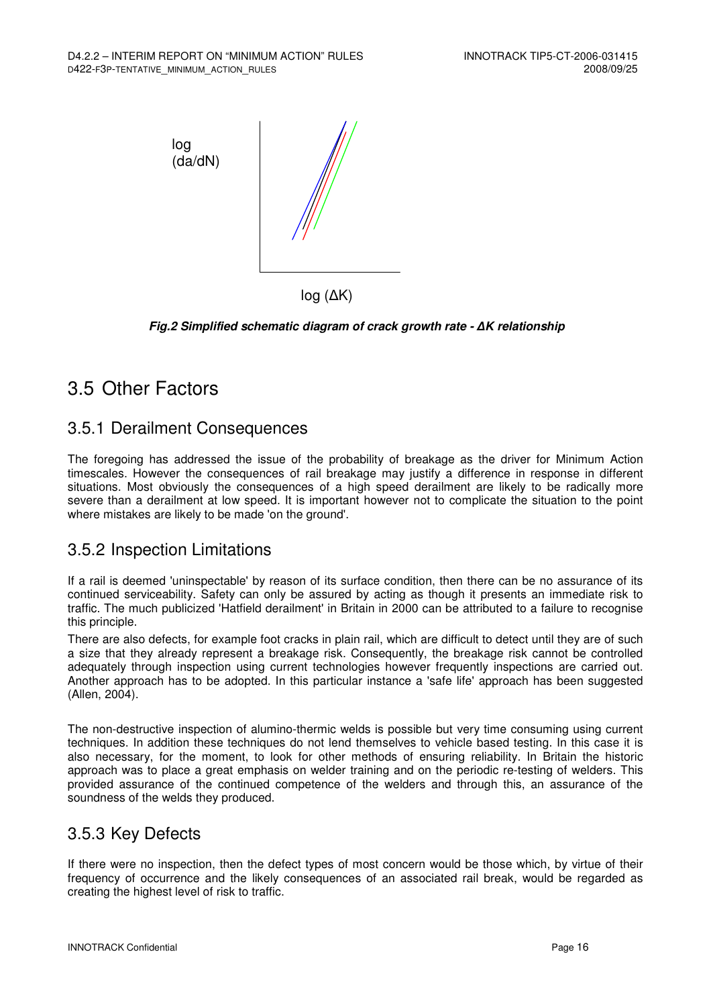

log (∆K)

**Fig.2 Simplified schematic diagram of crack growth rate -** ∆**K relationship** 

### 3.5 Other Factors

#### 3.5.1 Derailment Consequences

The foregoing has addressed the issue of the probability of breakage as the driver for Minimum Action timescales. However the consequences of rail breakage may justify a difference in response in different situations. Most obviously the consequences of a high speed derailment are likely to be radically more severe than a derailment at low speed. It is important however not to complicate the situation to the point where mistakes are likely to be made 'on the ground'.

#### 3.5.2 Inspection Limitations

If a rail is deemed 'uninspectable' by reason of its surface condition, then there can be no assurance of its continued serviceability. Safety can only be assured by acting as though it presents an immediate risk to traffic. The much publicized 'Hatfield derailment' in Britain in 2000 can be attributed to a failure to recognise this principle.

There are also defects, for example foot cracks in plain rail, which are difficult to detect until they are of such a size that they already represent a breakage risk. Consequently, the breakage risk cannot be controlled adequately through inspection using current technologies however frequently inspections are carried out. Another approach has to be adopted. In this particular instance a 'safe life' approach has been suggested (Allen, 2004).

The non-destructive inspection of alumino-thermic welds is possible but very time consuming using current techniques. In addition these techniques do not lend themselves to vehicle based testing. In this case it is also necessary, for the moment, to look for other methods of ensuring reliability. In Britain the historic approach was to place a great emphasis on welder training and on the periodic re-testing of welders. This provided assurance of the continued competence of the welders and through this, an assurance of the soundness of the welds they produced.

### 3.5.3 Key Defects

If there were no inspection, then the defect types of most concern would be those which, by virtue of their frequency of occurrence and the likely consequences of an associated rail break, would be regarded as creating the highest level of risk to traffic.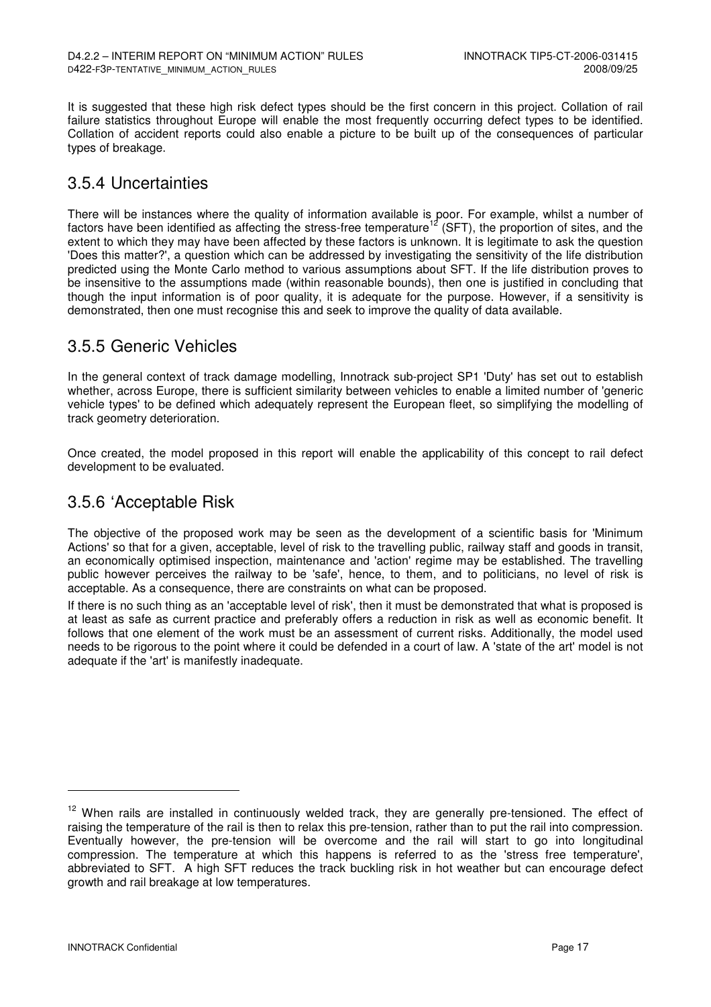It is suggested that these high risk defect types should be the first concern in this project. Collation of rail failure statistics throughout Europe will enable the most frequently occurring defect types to be identified. Collation of accident reports could also enable a picture to be built up of the consequences of particular types of breakage.

### 3.5.4 Uncertainties

There will be instances where the quality of information available is poor. For example, whilst a number of factors have been identified as affecting the stress-free temperature<sup>12</sup> (SFT), the proportion of sites, and the extent to which they may have been affected by these factors is unknown. It is legitimate to ask the question 'Does this matter?', a question which can be addressed by investigating the sensitivity of the life distribution predicted using the Monte Carlo method to various assumptions about SFT. If the life distribution proves to be insensitive to the assumptions made (within reasonable bounds), then one is justified in concluding that though the input information is of poor quality, it is adequate for the purpose. However, if a sensitivity is demonstrated, then one must recognise this and seek to improve the quality of data available.

#### 3.5.5 Generic Vehicles

In the general context of track damage modelling, Innotrack sub-project SP1 'Duty' has set out to establish whether, across Europe, there is sufficient similarity between vehicles to enable a limited number of 'generic vehicle types' to be defined which adequately represent the European fleet, so simplifying the modelling of track geometry deterioration.

Once created, the model proposed in this report will enable the applicability of this concept to rail defect development to be evaluated.

#### 3.5.6 'Acceptable Risk

The objective of the proposed work may be seen as the development of a scientific basis for 'Minimum Actions' so that for a given, acceptable, level of risk to the travelling public, railway staff and goods in transit, an economically optimised inspection, maintenance and 'action' regime may be established. The travelling public however perceives the railway to be 'safe', hence, to them, and to politicians, no level of risk is acceptable. As a consequence, there are constraints on what can be proposed.

If there is no such thing as an 'acceptable level of risk', then it must be demonstrated that what is proposed is at least as safe as current practice and preferably offers a reduction in risk as well as economic benefit. It follows that one element of the work must be an assessment of current risks. Additionally, the model used needs to be rigorous to the point where it could be defended in a court of law. A 'state of the art' model is not adequate if the 'art' is manifestly inadequate.

j

<sup>&</sup>lt;sup>12</sup> When rails are installed in continuously welded track, they are generally pre-tensioned. The effect of raising the temperature of the rail is then to relax this pre-tension, rather than to put the rail into compression. Eventually however, the pre-tension will be overcome and the rail will start to go into longitudinal compression. The temperature at which this happens is referred to as the 'stress free temperature', abbreviated to SFT. A high SFT reduces the track buckling risk in hot weather but can encourage defect growth and rail breakage at low temperatures.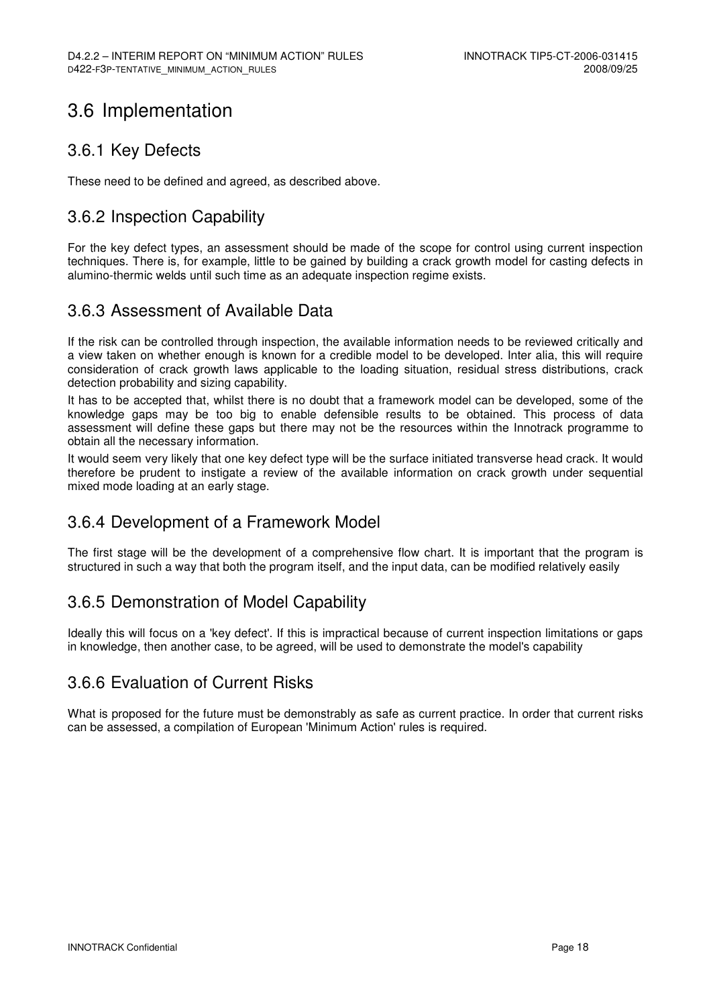## 3.6 Implementation

### 3.6.1 Key Defects

These need to be defined and agreed, as described above.

### 3.6.2 Inspection Capability

For the key defect types, an assessment should be made of the scope for control using current inspection techniques. There is, for example, little to be gained by building a crack growth model for casting defects in alumino-thermic welds until such time as an adequate inspection regime exists.

#### 3.6.3 Assessment of Available Data

If the risk can be controlled through inspection, the available information needs to be reviewed critically and a view taken on whether enough is known for a credible model to be developed. Inter alia, this will require consideration of crack growth laws applicable to the loading situation, residual stress distributions, crack detection probability and sizing capability.

It has to be accepted that, whilst there is no doubt that a framework model can be developed, some of the knowledge gaps may be too big to enable defensible results to be obtained. This process of data assessment will define these gaps but there may not be the resources within the Innotrack programme to obtain all the necessary information.

It would seem very likely that one key defect type will be the surface initiated transverse head crack. It would therefore be prudent to instigate a review of the available information on crack growth under sequential mixed mode loading at an early stage.

#### 3.6.4 Development of a Framework Model

The first stage will be the development of a comprehensive flow chart. It is important that the program is structured in such a way that both the program itself, and the input data, can be modified relatively easily

#### 3.6.5 Demonstration of Model Capability

Ideally this will focus on a 'key defect'. If this is impractical because of current inspection limitations or gaps in knowledge, then another case, to be agreed, will be used to demonstrate the model's capability

#### 3.6.6 Evaluation of Current Risks

What is proposed for the future must be demonstrably as safe as current practice. In order that current risks can be assessed, a compilation of European 'Minimum Action' rules is required.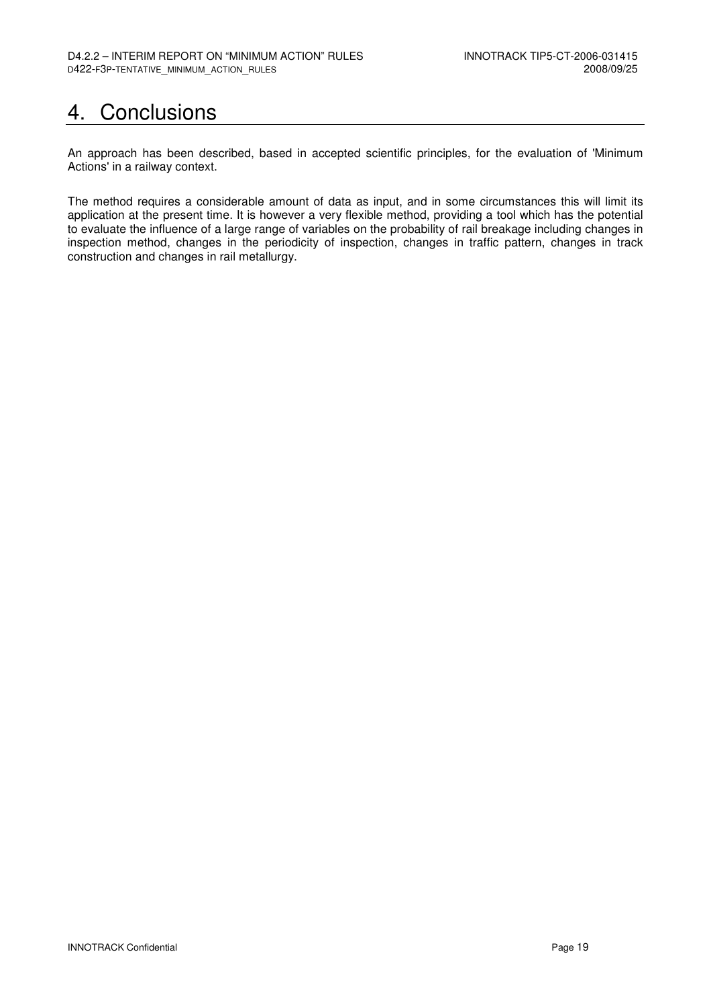# 4. Conclusions

An approach has been described, based in accepted scientific principles, for the evaluation of 'Minimum Actions' in a railway context.

The method requires a considerable amount of data as input, and in some circumstances this will limit its application at the present time. It is however a very flexible method, providing a tool which has the potential to evaluate the influence of a large range of variables on the probability of rail breakage including changes in inspection method, changes in the periodicity of inspection, changes in traffic pattern, changes in track construction and changes in rail metallurgy.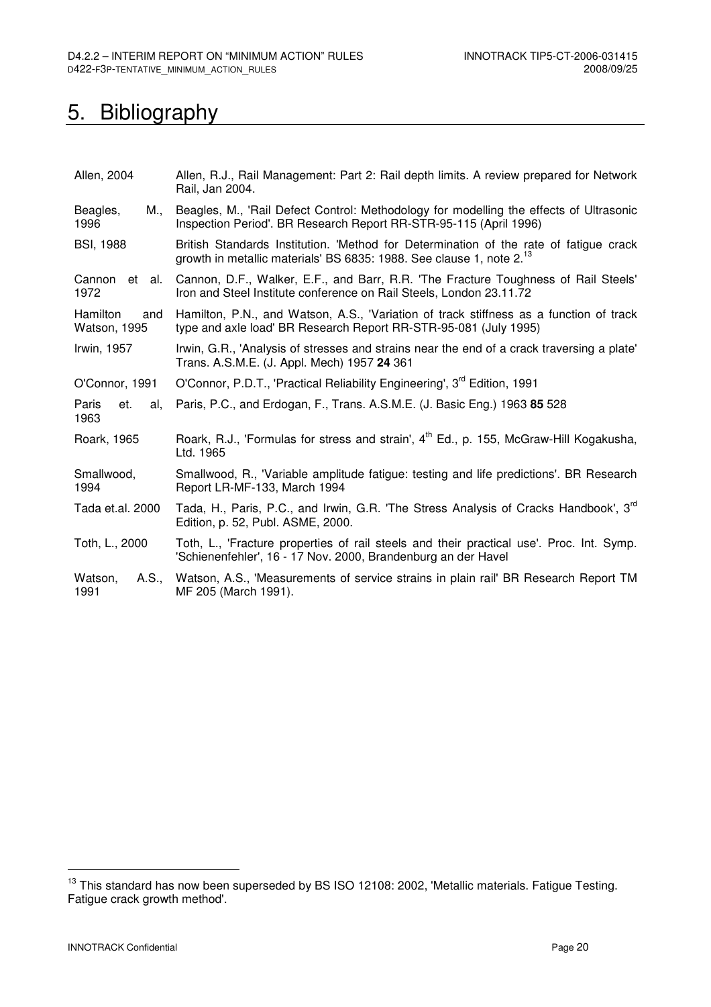# 5. Bibliography

| Allen, 2004                     | Allen, R.J., Rail Management: Part 2: Rail depth limits. A review prepared for Network<br>Rail, Jan 2004.                                                                 |  |  |  |  |
|---------------------------------|---------------------------------------------------------------------------------------------------------------------------------------------------------------------------|--|--|--|--|
| Beagles,<br>M.,<br>1996         | Beagles, M., 'Rail Defect Control: Methodology for modelling the effects of Ultrasonic<br>Inspection Period'. BR Research Report RR-STR-95-115 (April 1996)               |  |  |  |  |
| <b>BSI, 1988</b>                | British Standards Institution. 'Method for Determination of the rate of fatigue crack<br>growth in metallic materials' BS 6835: 1988. See clause 1, note 2. <sup>13</sup> |  |  |  |  |
| Cannon et al.<br>1972           | Cannon, D.F., Walker, E.F., and Barr, R.R. 'The Fracture Toughness of Rail Steels'<br>Iron and Steel Institute conference on Rail Steels, London 23.11.72                 |  |  |  |  |
| Hamilton<br>and<br>Watson, 1995 | Hamilton, P.N., and Watson, A.S., 'Variation of track stiffness as a function of track<br>type and axle load' BR Research Report RR-STR-95-081 (July 1995)                |  |  |  |  |
| Irwin, 1957                     | Irwin, G.R., 'Analysis of stresses and strains near the end of a crack traversing a plate'<br>Trans. A.S.M.E. (J. Appl. Mech) 1957 24 361                                 |  |  |  |  |
| O'Connor, 1991                  | O'Connor, P.D.T., 'Practical Reliability Engineering', 3 <sup>rd</sup> Edition, 1991                                                                                      |  |  |  |  |
| Paris<br>et.<br>al.<br>1963     | Paris, P.C., and Erdogan, F., Trans. A.S.M.E. (J. Basic Eng.) 1963 85 528                                                                                                 |  |  |  |  |
| Roark, 1965                     | Roark, R.J., 'Formulas for stress and strain', 4 <sup>th</sup> Ed., p. 155, McGraw-Hill Kogakusha,<br>Ltd. 1965                                                           |  |  |  |  |
| Smallwood,<br>1994              | Smallwood, R., 'Variable amplitude fatigue: testing and life predictions'. BR Research<br>Report LR-MF-133, March 1994                                                    |  |  |  |  |
| Tada et.al. 2000                | Tada, H., Paris, P.C., and Irwin, G.R. 'The Stress Analysis of Cracks Handbook', 3 <sup>rd</sup><br>Edition, p. 52, Publ. ASME, 2000.                                     |  |  |  |  |
| Toth, L., 2000                  | Toth, L., 'Fracture properties of rail steels and their practical use'. Proc. Int. Symp.<br>'Schienenfehler', 16 - 17 Nov. 2000, Brandenburg an der Havel                 |  |  |  |  |
| A.S.,<br>Watson,<br>1991        | Watson, A.S., 'Measurements of service strains in plain rail' BR Research Report TM<br>MF 205 (March 1991).                                                               |  |  |  |  |

<sup>&</sup>lt;sup>13</sup> This standard has now been superseded by BS ISO 12108: 2002, 'Metallic materials. Fatigue Testing. Fatigue crack growth method'.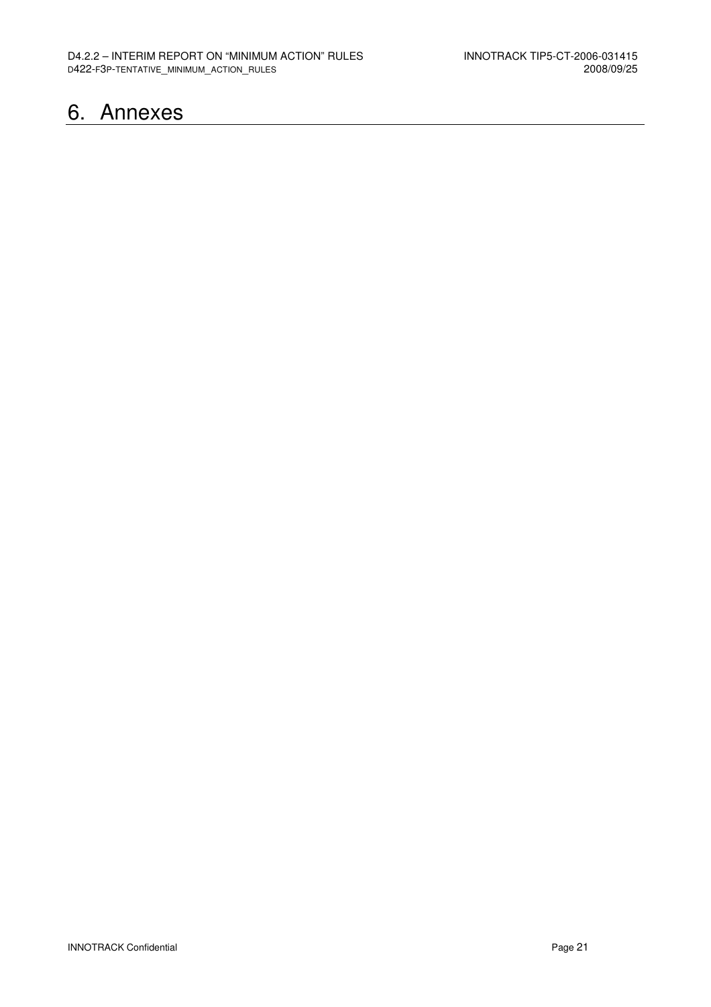## 6. Annexes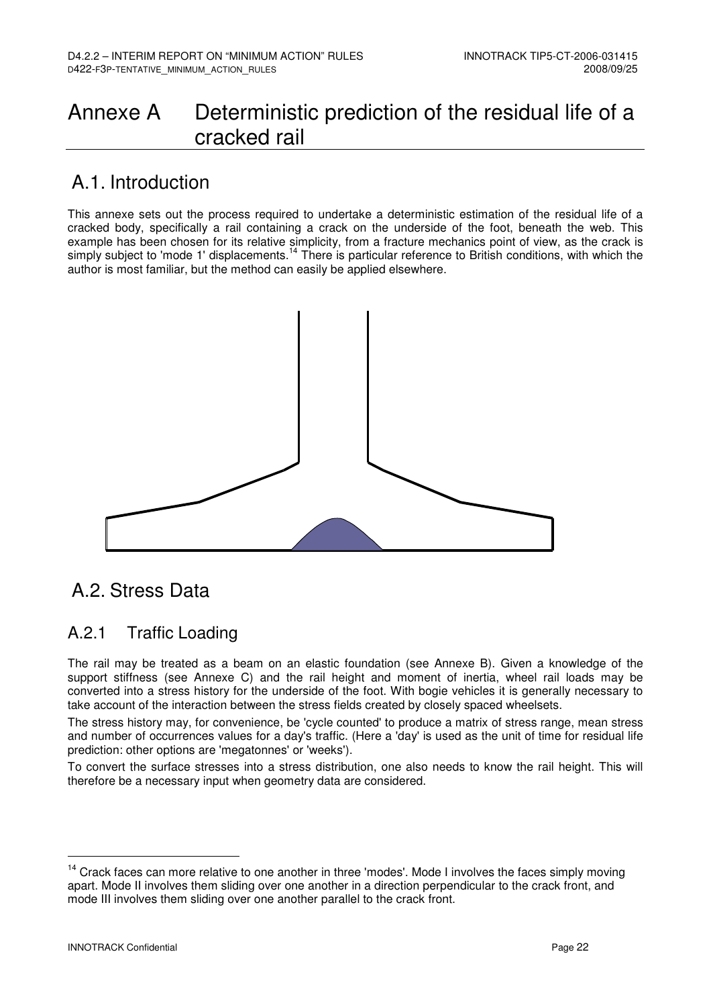## Annexe A Deterministic prediction of the residual life of a cracked rail

### A.1. Introduction

This annexe sets out the process required to undertake a deterministic estimation of the residual life of a cracked body, specifically a rail containing a crack on the underside of the foot, beneath the web. This example has been chosen for its relative simplicity, from a fracture mechanics point of view, as the crack is simply subject to 'mode 1' displacements.<sup>14</sup> There is particular reference to British conditions, with which the author is most familiar, but the method can easily be applied elsewhere.



## A.2. Stress Data

### A.2.1 Traffic Loading

The rail may be treated as a beam on an elastic foundation (see Annexe B). Given a knowledge of the support stiffness (see Annexe C) and the rail height and moment of inertia, wheel rail loads may be converted into a stress history for the underside of the foot. With bogie vehicles it is generally necessary to take account of the interaction between the stress fields created by closely spaced wheelsets.

The stress history may, for convenience, be 'cycle counted' to produce a matrix of stress range, mean stress and number of occurrences values for a day's traffic. (Here a 'day' is used as the unit of time for residual life prediction: other options are 'megatonnes' or 'weeks').

To convert the surface stresses into a stress distribution, one also needs to know the rail height. This will therefore be a necessary input when geometry data are considered.

<sup>&</sup>lt;sup>14</sup> Crack faces can more relative to one another in three 'modes'. Mode I involves the faces simply moving apart. Mode II involves them sliding over one another in a direction perpendicular to the crack front, and mode III involves them sliding over one another parallel to the crack front.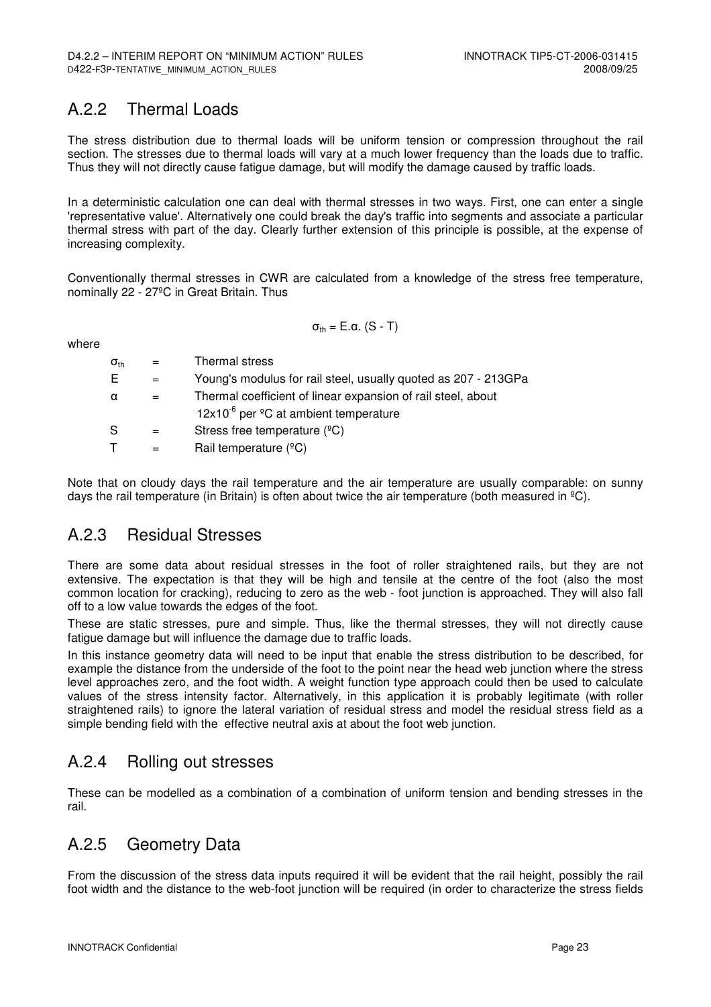### A.2.2 Thermal Loads

The stress distribution due to thermal loads will be uniform tension or compression throughout the rail section. The stresses due to thermal loads will vary at a much lower frequency than the loads due to traffic. Thus they will not directly cause fatigue damage, but will modify the damage caused by traffic loads.

In a deterministic calculation one can deal with thermal stresses in two ways. First, one can enter a single 'representative value'. Alternatively one could break the day's traffic into segments and associate a particular thermal stress with part of the day. Clearly further extension of this principle is possible, at the expense of increasing complexity.

Conventionally thermal stresses in CWR are calculated from a knowledge of the stress free temperature, nominally 22 - 27ºC in Great Britain. Thus

where

 $\sigma_{th} = E \cdot \alpha$ . (S - T)

| $\sigma_{\text{th}}$ | $=$ | Thermal stress                                                 |
|----------------------|-----|----------------------------------------------------------------|
| E.                   |     | Young's modulus for rail steel, usually quoted as 207 - 213GPa |
| α                    | $=$ | Thermal coefficient of linear expansion of rail steel, about   |
|                      |     | $12x10^{-6}$ per <sup>o</sup> C at ambient temperature         |
| S                    | $=$ | Stress free temperature $(^{\circ}C)$                          |
|                      |     | Rail temperature (°C)                                          |

Note that on cloudy days the rail temperature and the air temperature are usually comparable: on sunny days the rail temperature (in Britain) is often about twice the air temperature (both measured in  $^{\circ}$ C).

#### A.2.3 Residual Stresses

There are some data about residual stresses in the foot of roller straightened rails, but they are not extensive. The expectation is that they will be high and tensile at the centre of the foot (also the most common location for cracking), reducing to zero as the web - foot junction is approached. They will also fall off to a low value towards the edges of the foot.

These are static stresses, pure and simple. Thus, like the thermal stresses, they will not directly cause fatigue damage but will influence the damage due to traffic loads.

In this instance geometry data will need to be input that enable the stress distribution to be described, for example the distance from the underside of the foot to the point near the head web junction where the stress level approaches zero, and the foot width. A weight function type approach could then be used to calculate values of the stress intensity factor. Alternatively, in this application it is probably legitimate (with roller straightened rails) to ignore the lateral variation of residual stress and model the residual stress field as a simple bending field with the effective neutral axis at about the foot web junction.

### A.2.4 Rolling out stresses

These can be modelled as a combination of a combination of uniform tension and bending stresses in the rail.

### A.2.5 Geometry Data

From the discussion of the stress data inputs required it will be evident that the rail height, possibly the rail foot width and the distance to the web-foot junction will be required (in order to characterize the stress fields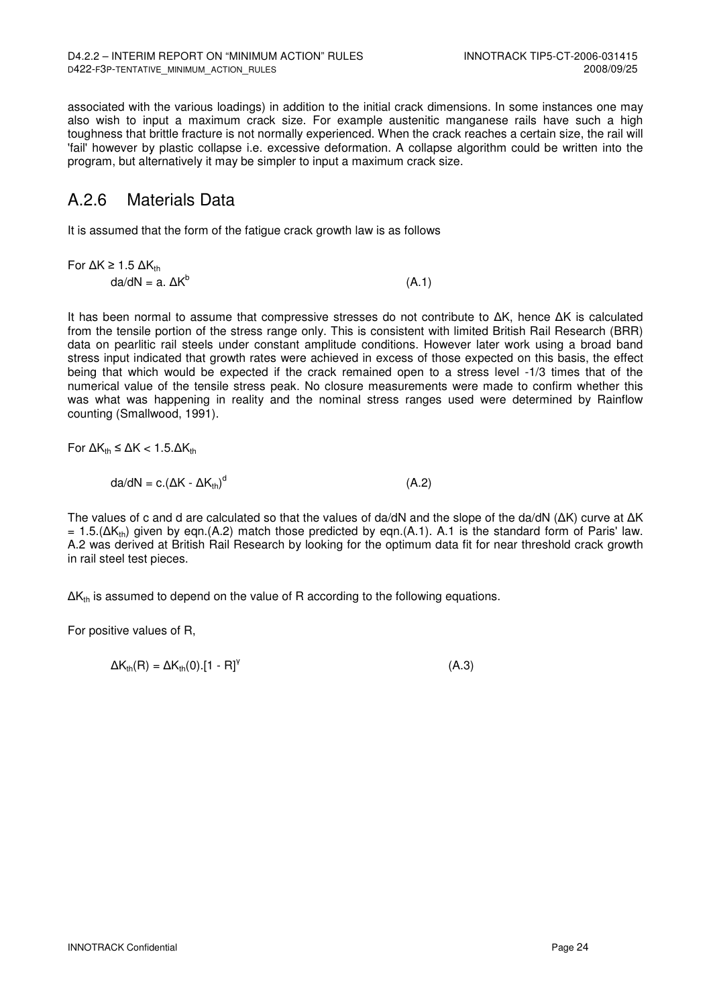associated with the various loadings) in addition to the initial crack dimensions. In some instances one may also wish to input a maximum crack size. For example austenitic manganese rails have such a high toughness that brittle fracture is not normally experienced. When the crack reaches a certain size, the rail will 'fail' however by plastic collapse i.e. excessive deformation. A collapse algorithm could be written into the program, but alternatively it may be simpler to input a maximum crack size.

### A.2.6 Materials Data

It is assumed that the form of the fatigue crack growth law is as follows

$$
\begin{aligned}\n\text{For } \Delta K \ge 1.5 \ \Delta K_{\text{th}} \\
\text{da/dN} &= \mathbf{a}. \ \Delta K^{\text{b}}\n\end{aligned}\n\tag{A.1}
$$

It has been normal to assume that compressive stresses do not contribute to ∆K, hence ∆K is calculated from the tensile portion of the stress range only. This is consistent with limited British Rail Research (BRR) data on pearlitic rail steels under constant amplitude conditions. However later work using a broad band stress input indicated that growth rates were achieved in excess of those expected on this basis, the effect being that which would be expected if the crack remained open to a stress level -1/3 times that of the numerical value of the tensile stress peak. No closure measurements were made to confirm whether this was what was happening in reality and the nominal stress ranges used were determined by Rainflow counting (Smallwood, 1991).

For 
$$
\Delta K_{th} \leq \Delta K < 1.5.\Delta K_{th}
$$

$$
da/dN = c.(\Delta K - \Delta K_{\text{th}})^d
$$
 (A.2)

The values of c and d are calculated so that the values of da/dN and the slope of the da/dN (∆K) curve at ∆K  $= 1.5$ . (ΔK<sub>th</sub>) given by eqn. (A.2) match those predicted by eqn. (A.1). A.1 is the standard form of Paris' law. A.2 was derived at British Rail Research by looking for the optimum data fit for near threshold crack growth in rail steel test pieces.

 $ΔK<sub>th</sub>$  is assumed to depend on the value of R according to the following equations.

For positive values of R,

$$
\Delta K_{\text{th}}(\mathsf{R}) = \Delta K_{\text{th}}(0) \cdot [1 - \mathsf{R}]^{\mathsf{Y}} \tag{A.3}
$$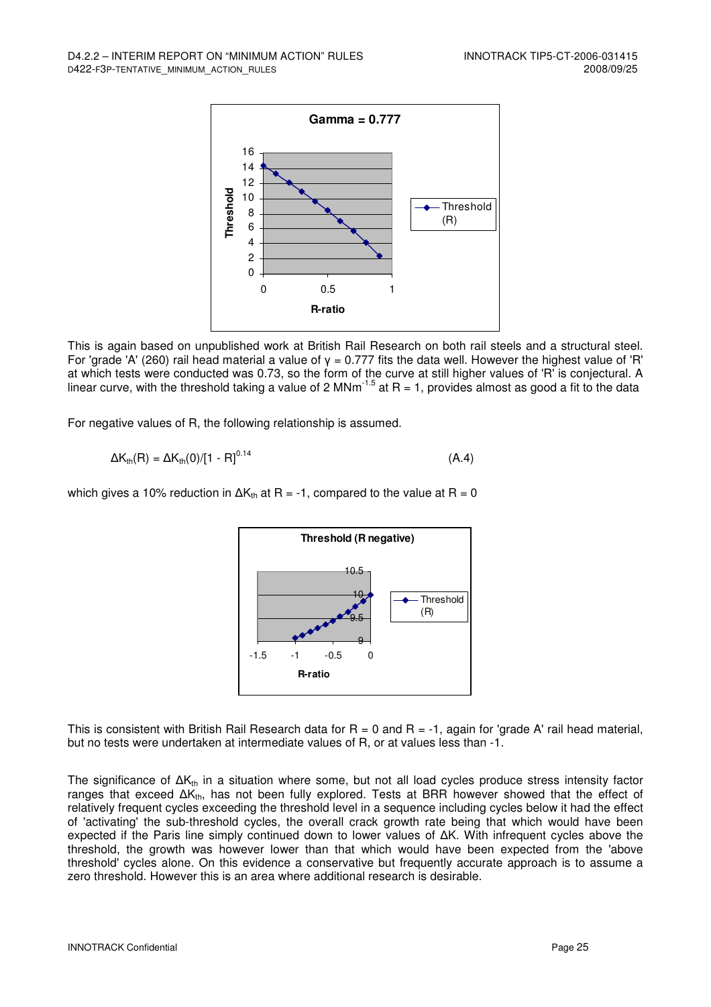

This is again based on unpublished work at British Rail Research on both rail steels and a structural steel. For 'grade 'A' (260) rail head material a value of γ = 0.777 fits the data well. However the highest value of 'R' at which tests were conducted was 0.73, so the form of the curve at still higher values of 'R' is conjectural. A linear curve, with the threshold taking a value of 2 MNm<sup>-1.5</sup> at R = 1, provides almost as good a fit to the data

For negative values of R, the following relationship is assumed.

$$
\Delta K_{\rm th}(R) = \Delta K_{\rm th}(0) / [1 - R]^{0.14}
$$
 (A.4)

which gives a 10% reduction in  $\Delta K_{th}$  at R = -1, compared to the value at R = 0



This is consistent with British Rail Research data for  $R = 0$  and  $R = -1$ , again for 'grade A' rail head material, but no tests were undertaken at intermediate values of R, or at values less than -1.

The significance of  $\Delta K_{th}$  in a situation where some, but not all load cycles produce stress intensity factor ranges that exceed ΔK<sub>th</sub>, has not been fully explored. Tests at BRR however showed that the effect of relatively frequent cycles exceeding the threshold level in a sequence including cycles below it had the effect of 'activating' the sub-threshold cycles, the overall crack growth rate being that which would have been expected if the Paris line simply continued down to lower values of ∆K. With infrequent cycles above the threshold, the growth was however lower than that which would have been expected from the 'above threshold' cycles alone. On this evidence a conservative but frequently accurate approach is to assume a zero threshold. However this is an area where additional research is desirable.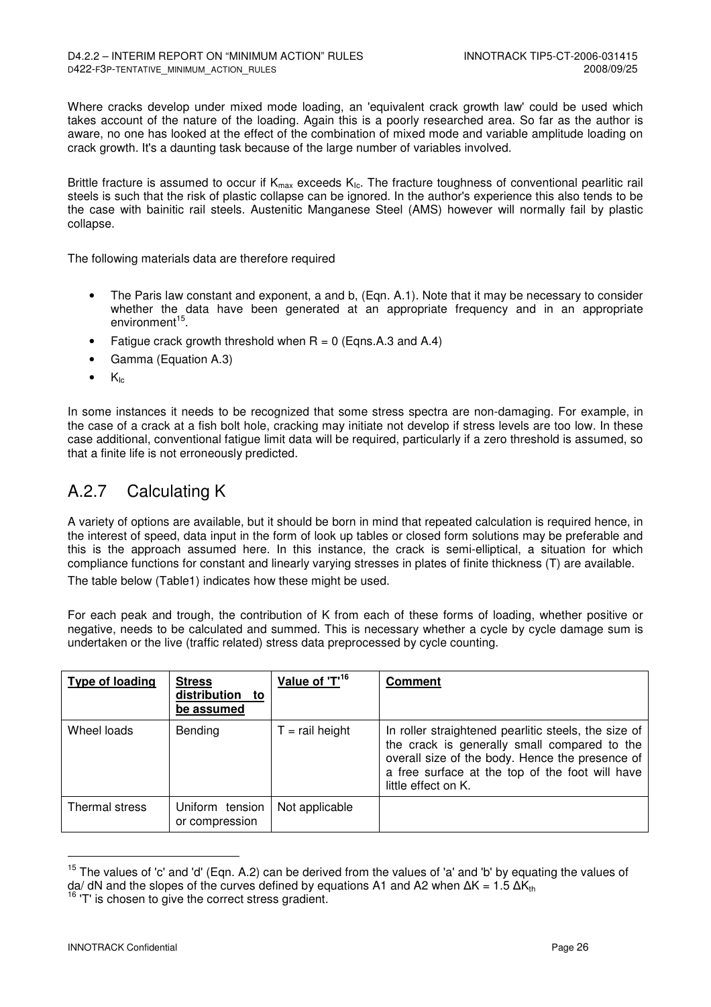Where cracks develop under mixed mode loading, an 'equivalent crack growth law' could be used which takes account of the nature of the loading. Again this is a poorly researched area. So far as the author is aware, no one has looked at the effect of the combination of mixed mode and variable amplitude loading on crack growth. It's a daunting task because of the large number of variables involved.

Brittle fracture is assumed to occur if  $K_{max}$  exceeds  $K_{lc}$ . The fracture toughness of conventional pearlitic rail steels is such that the risk of plastic collapse can be ignored. In the author's experience this also tends to be the case with bainitic rail steels. Austenitic Manganese Steel (AMS) however will normally fail by plastic collapse.

The following materials data are therefore required

- The Paris law constant and exponent, a and b, (Eqn. A.1). Note that it may be necessary to consider whether the data have been generated at an appropriate frequency and in an appropriate environment<sup>15</sup> .
- Fatigue crack growth threshold when  $R = 0$  (Eqns. A.3 and A.4)
- Gamma (Equation A.3)
- $\bullet$  K<sub>Ic</sub>

In some instances it needs to be recognized that some stress spectra are non-damaging. For example, in the case of a crack at a fish bolt hole, cracking may initiate not develop if stress levels are too low. In these case additional, conventional fatigue limit data will be required, particularly if a zero threshold is assumed, so that a finite life is not erroneously predicted.

### A.2.7 Calculating K

A variety of options are available, but it should be born in mind that repeated calculation is required hence, in the interest of speed, data input in the form of look up tables or closed form solutions may be preferable and this is the approach assumed here. In this instance, the crack is semi-elliptical, a situation for which compliance functions for constant and linearly varying stresses in plates of finite thickness (T) are available. The table below (Table1) indicates how these might be used.

For each peak and trough, the contribution of K from each of these forms of loading, whether positive or negative, needs to be calculated and summed. This is necessary whether a cycle by cycle damage sum is undertaken or the live (traffic related) stress data preprocessed by cycle counting.

| Type of loading | <b>Stress</b><br>distribution to<br>be assumed | Value of 'T' <sup>16</sup> | <b>Comment</b>                                                                                                                                                                                                                    |
|-----------------|------------------------------------------------|----------------------------|-----------------------------------------------------------------------------------------------------------------------------------------------------------------------------------------------------------------------------------|
| Wheel loads     | <b>Bending</b>                                 | $T =$ rail height          | In roller straightened pearlitic steels, the size of<br>the crack is generally small compared to the<br>overall size of the body. Hence the presence of<br>a free surface at the top of the foot will have<br>little effect on K. |
| Thermal stress  | Uniform tension<br>or compression              | Not applicable             |                                                                                                                                                                                                                                   |

<sup>&</sup>lt;sup>15</sup> The values of 'c' and 'd' (Eqn. A.2) can be derived from the values of 'a' and 'b' by equating the values of  $da/dN$  and the slopes of the curves defined by equations A1 and A2 when  $\Delta K = 1.5 \Delta K_{th}$ 

 $16$  'T' is chosen to give the correct stress gradient.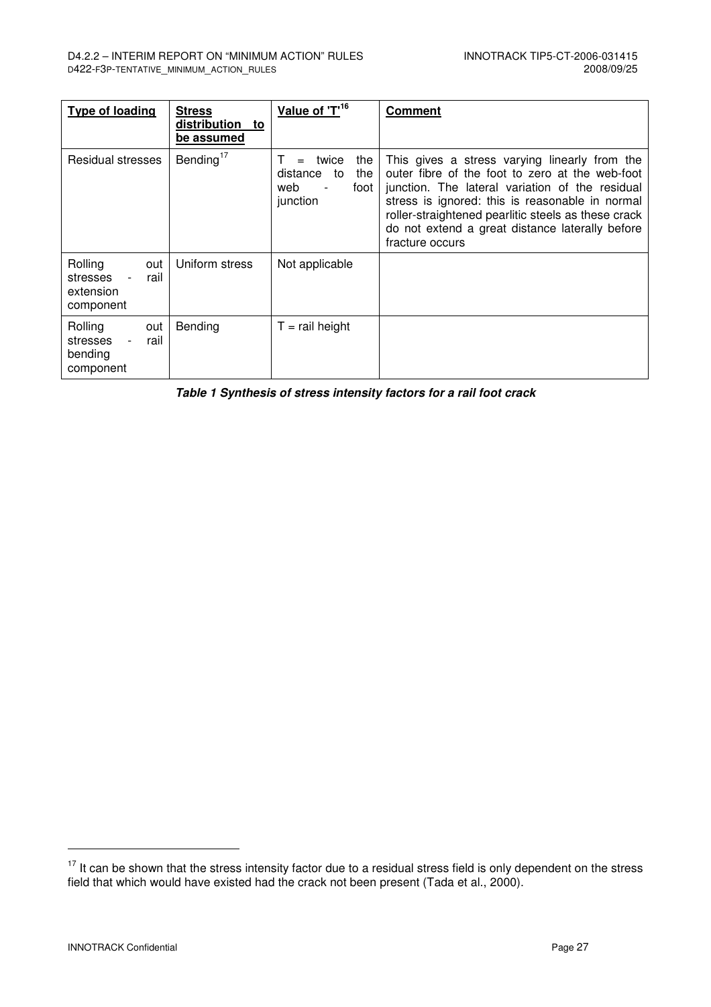| <b>Type of loading</b>                                       | <b>Stress</b><br>distribution to<br>be assumed | Value of 'T <sup>16</sup>                                               | <b>Comment</b>                                                                                                                                                                                                                                                                                                                      |
|--------------------------------------------------------------|------------------------------------------------|-------------------------------------------------------------------------|-------------------------------------------------------------------------------------------------------------------------------------------------------------------------------------------------------------------------------------------------------------------------------------------------------------------------------------|
| Residual stresses                                            | Bending $17$                                   | the<br>twice<br>$=$<br>distance<br>the<br>to<br>web<br>foot<br>junction | This gives a stress varying linearly from the<br>outer fibre of the foot to zero at the web-foot<br>junction. The lateral variation of the residual<br>stress is ignored: this is reasonable in normal<br>roller-straightened pearlitic steels as these crack<br>do not extend a great distance laterally before<br>fracture occurs |
| Rolling<br>out<br>rail<br>stresses<br>extension<br>component | Uniform stress                                 | Not applicable                                                          |                                                                                                                                                                                                                                                                                                                                     |
| Rolling<br>out<br>stresses<br>rail<br>bending<br>component   | Bending                                        | $T =$ rail height                                                       |                                                                                                                                                                                                                                                                                                                                     |

**Table 1 Synthesis of stress intensity factors for a rail foot crack** 

 $17$  It can be shown that the stress intensity factor due to a residual stress field is only dependent on the stress field that which would have existed had the crack not been present (Tada et al., 2000).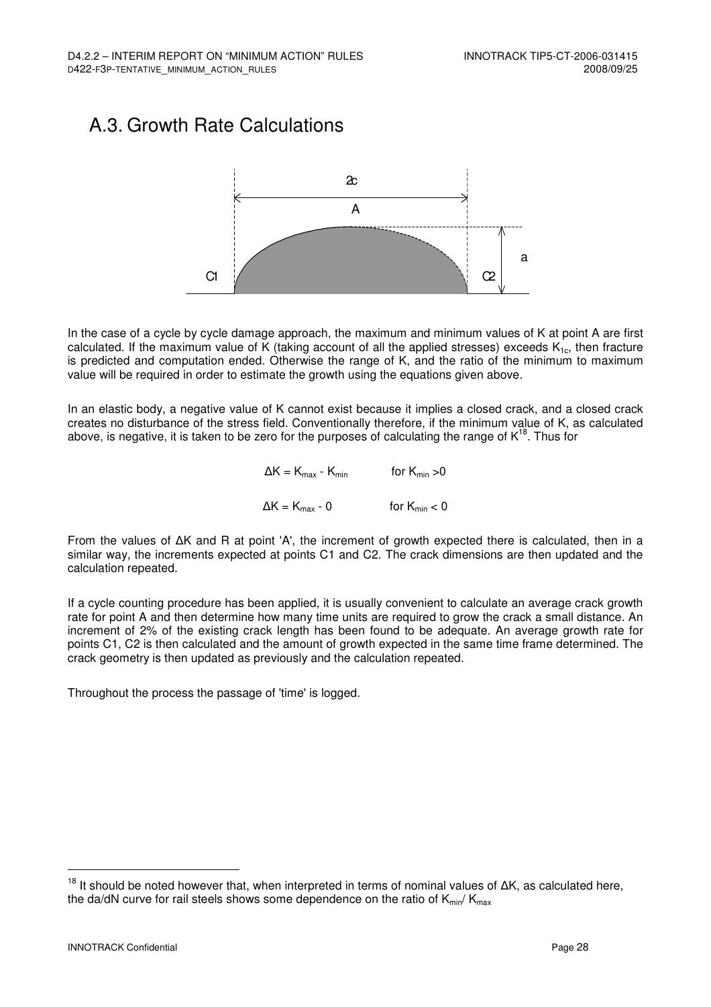### A.3. Growth Rate Calculations



In the case of a cycle by cycle damage approach, the maximum and minimum values of K at point A are first calculated. If the maximum value of K (taking account of all the applied stresses) exceeds  $K_{1c}$ , then fracture is predicted and computation ended. Otherwise the range of K, and the ratio of the minimum to maximum value will be required in order to estimate the growth using the equations given above.

In an elastic body, a negative value of K cannot exist because it implies a closed crack, and a closed crack creates no disturbance of the stress field. Conventionally therefore, if the minimum value of K, as calculated above, is negative, it is taken to be zero for the purposes of calculating the range of K<sup>18</sup>. Thus for

> $\Delta K = K_{\text{max}} - K_{\text{min}}$  for  $K_{\text{min}} > 0$  $\Delta K = K_{\text{max}} - 0$  for  $K_{\text{min}} < 0$

From the values of ∆K and R at point 'A', the increment of growth expected there is calculated, then in a similar way, the increments expected at points C1 and C2. The crack dimensions are then updated and the calculation repeated.

If a cycle counting procedure has been applied, it is usually convenient to calculate an average crack growth rate for point A and then determine how many time units are required to grow the crack a small distance. An increment of 2% of the existing crack length has been found to be adequate. An average growth rate for points C1, C2 is then calculated and the amount of growth expected in the same time frame determined. The crack geometry is then updated as previously and the calculation repeated.

Throughout the process the passage of 'time' is logged.

<sup>&</sup>lt;sup>18</sup> It should be noted however that, when interpreted in terms of nominal values of ΔK, as calculated here, the da/dN curve for rail steels shows some dependence on the ratio of  $K_{min}/K_{max}$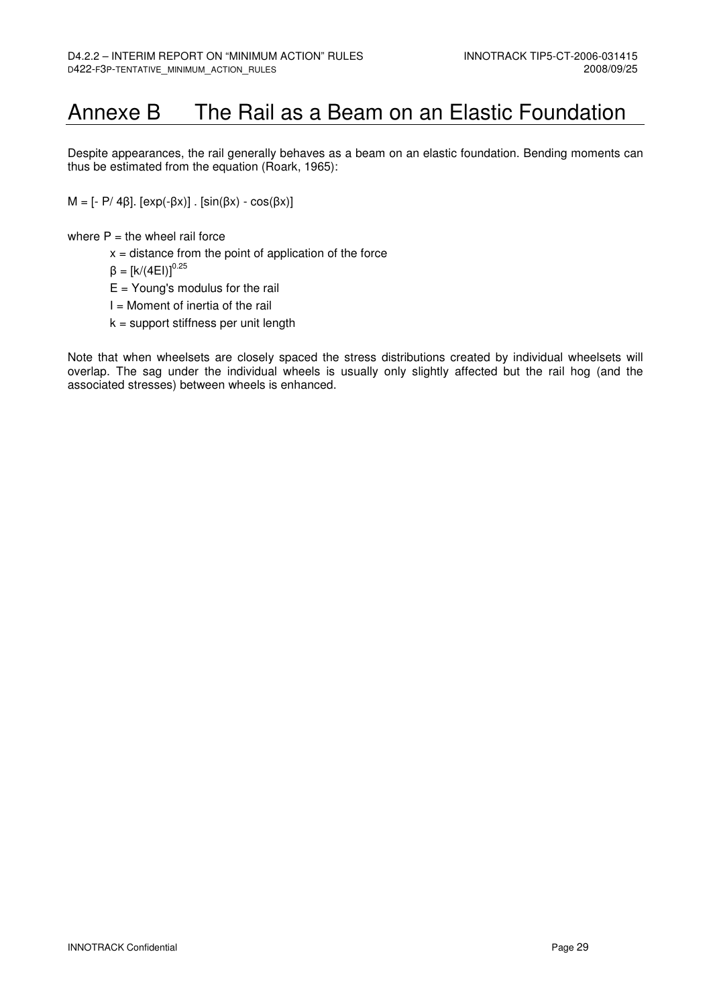## Annexe B The Rail as a Beam on an Elastic Foundation

Despite appearances, the rail generally behaves as a beam on an elastic foundation. Bending moments can thus be estimated from the equation (Roark, 1965):

 $M = [-P/ 4β]$ .  $[exp(-βx)]$ .  $[sin(βx) - cos(βx)]$ 

where  $P =$  the wheel rail force

 $x =$  distance from the point of application of the force

 $β = [k/(4E1)]^{0.25}$ 

- $E =$  Young's modulus for the rail
- $I =$  Moment of inertia of the rail
- $k =$  support stiffness per unit length

Note that when wheelsets are closely spaced the stress distributions created by individual wheelsets will overlap. The sag under the individual wheels is usually only slightly affected but the rail hog (and the associated stresses) between wheels is enhanced.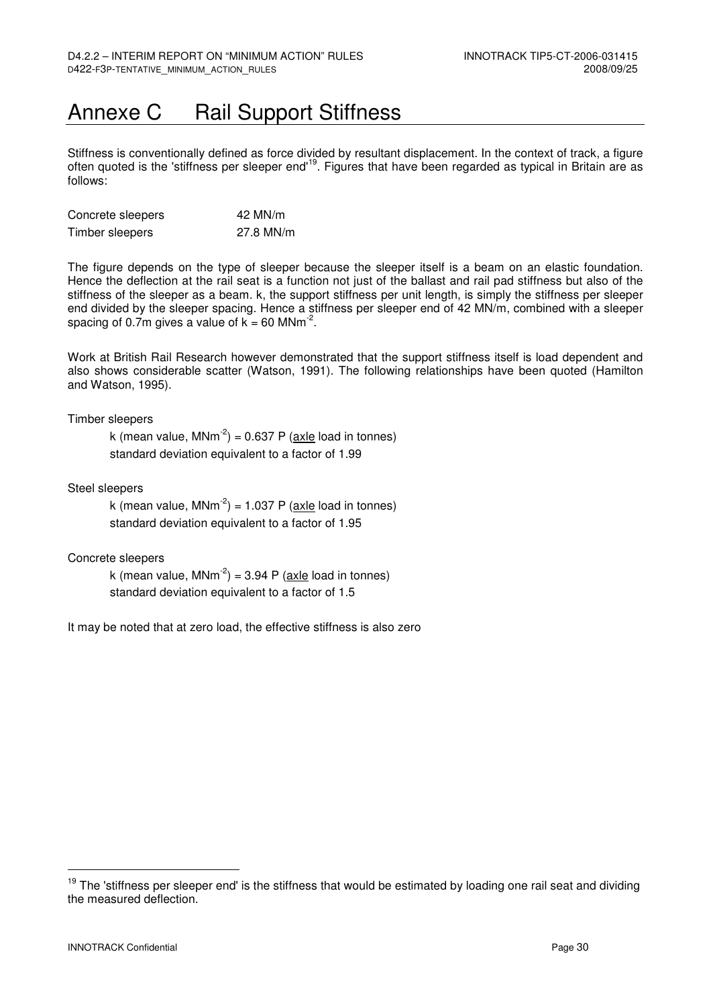## Annexe C Rail Support Stiffness

Stiffness is conventionally defined as force divided by resultant displacement. In the context of track, a figure often quoted is the 'stiffness per sleeper end'<sup>19</sup>. Figures that have been regarded as typical in Britain are as follows:

| Concrete sleepers | 42 MN/m   |
|-------------------|-----------|
| Timber sleepers   | 27.8 MN/m |

The figure depends on the type of sleeper because the sleeper itself is a beam on an elastic foundation. Hence the deflection at the rail seat is a function not just of the ballast and rail pad stiffness but also of the stiffness of the sleeper as a beam. k, the support stiffness per unit length, is simply the stiffness per sleeper end divided by the sleeper spacing. Hence a stiffness per sleeper end of 42 MN/m, combined with a sleeper spacing of 0.7m gives a value of  $k = 60$  MNm<sup>-2</sup>.

Work at British Rail Research however demonstrated that the support stiffness itself is load dependent and also shows considerable scatter (Watson, 1991). The following relationships have been quoted (Hamilton and Watson, 1995).

Timber sleepers

k (mean value, MNm<sup>-2</sup>) = 0.637 P ( $axle$  load in tonnes) standard deviation equivalent to a factor of 1.99

Steel sleepers

k (mean value, MNm<sup>-2</sup>) = 1.037 P (axle load in tonnes) standard deviation equivalent to a factor of 1.95

Concrete sleepers

k (mean value, MNm<sup>-2</sup>) = 3.94 P (axle load in tonnes) standard deviation equivalent to a factor of 1.5

It may be noted that at zero load, the effective stiffness is also zero

 $19$  The 'stiffness per sleeper end' is the stiffness that would be estimated by loading one rail seat and dividing the measured deflection.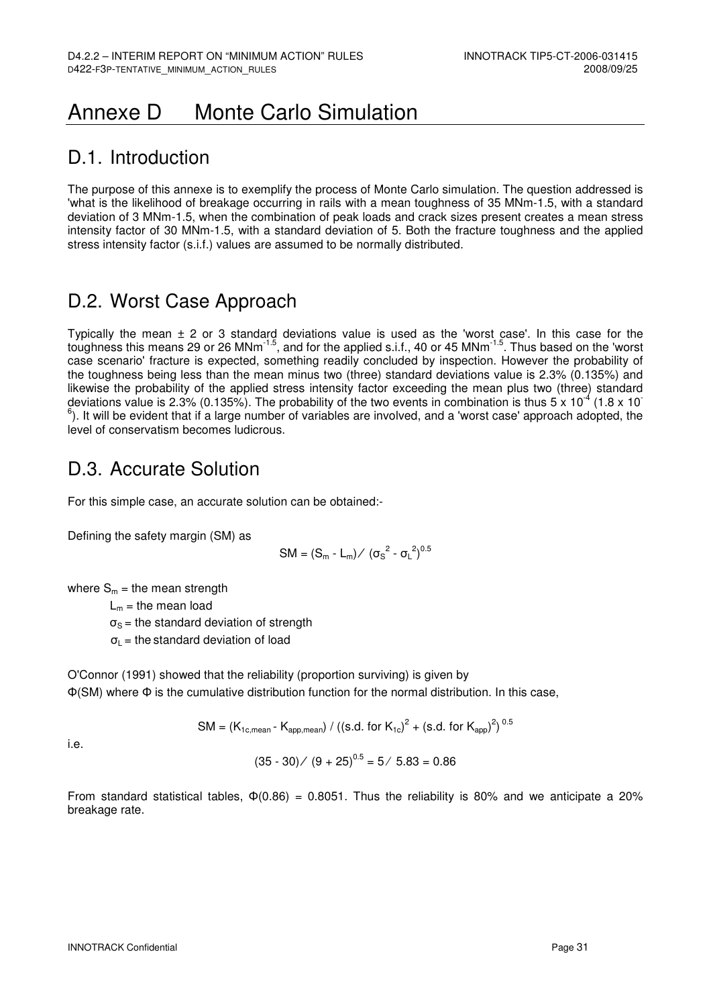## Annexe D Monte Carlo Simulation

### D.1. Introduction

The purpose of this annexe is to exemplify the process of Monte Carlo simulation. The question addressed is 'what is the likelihood of breakage occurring in rails with a mean toughness of 35 MNm-1.5, with a standard deviation of 3 MNm-1.5, when the combination of peak loads and crack sizes present creates a mean stress intensity factor of 30 MNm-1.5, with a standard deviation of 5. Both the fracture toughness and the applied stress intensity factor (s.i.f.) values are assumed to be normally distributed.

## D.2. Worst Case Approach

Typically the mean  $\pm$  2 or 3 standard deviations value is used as the 'worst case'. In this case for the toughness this means 29 or 26 MNm-1.5, and for the applied s.i.f., 40 or 45 MNm-1.5. Thus based on the 'worst case scenario' fracture is expected, something readily concluded by inspection. However the probability of the toughness being less than the mean minus two (three) standard deviations value is 2.3% (0.135%) and likewise the probability of the applied stress intensity factor exceeding the mean plus two (three) standard deviations value is 2.3% (0.135%). The probability of the two events in combination is thus  $5 \times 10^{-4}$  (1.8 x 10)  $^6$ ). It will be evident that if a large number of variables are involved, and a 'worst case' approach adopted, the level of conservatism becomes ludicrous.

### D.3. Accurate Solution

For this simple case, an accurate solution can be obtained:-

Defining the safety margin (SM) as

$$
SM = (S_m - L_m) / (\sigma_S^2 - {\sigma_L}^2)^{0.5}
$$

where  $S_m$  = the mean strength

 $L_m$  = the mean load  $\sigma_{\rm S}$  = the standard deviation of strength  $\sigma_{\text{L}}$  = the standard deviation of load

O'Connor (1991) showed that the reliability (proportion surviving) is given by Φ(SM) where Φ is the cumulative distribution function for the normal distribution. In this case,

SM = (K<sub>1c,mean</sub> - K<sub>app,mean</sub>) / ((s.d. for K<sub>1c</sub>)<sup>2</sup> + (s.d. for K<sub>app</sub>)<sup>2</sup>)<sup>0.5</sup>

i.e.

$$
(35-30) / (9+25)^{0.5} = 5 / 5.83 = 0.86
$$

From standard statistical tables,  $\Phi(0.86) = 0.8051$ . Thus the reliability is 80% and we anticipate a 20% breakage rate.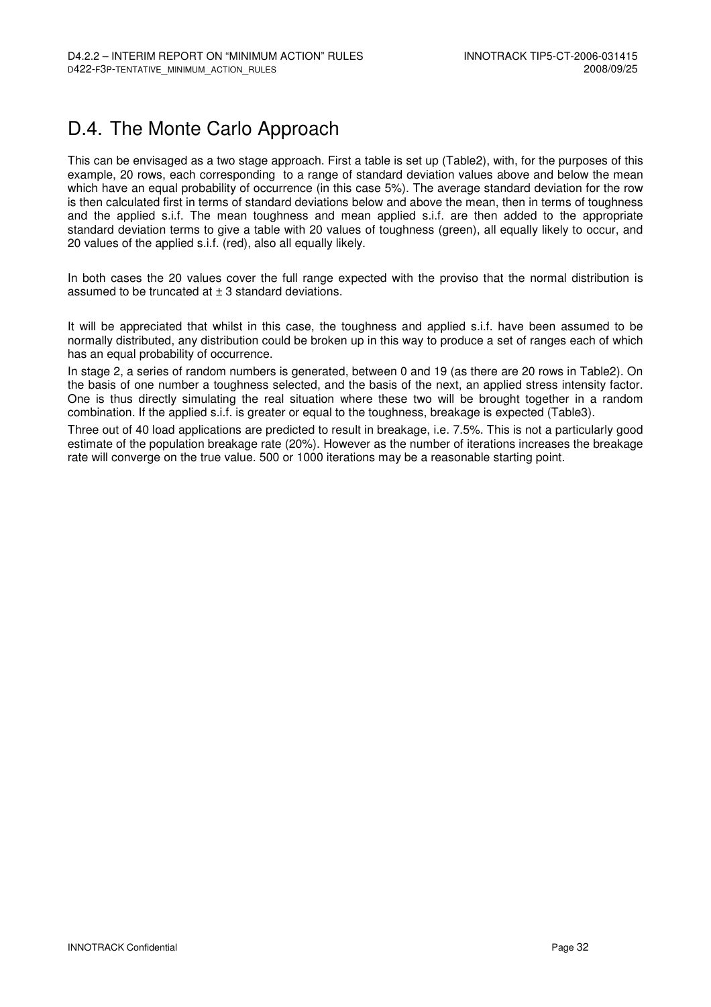## D.4. The Monte Carlo Approach

This can be envisaged as a two stage approach. First a table is set up (Table2), with, for the purposes of this example, 20 rows, each corresponding to a range of standard deviation values above and below the mean which have an equal probability of occurrence (in this case 5%). The average standard deviation for the row is then calculated first in terms of standard deviations below and above the mean, then in terms of toughness and the applied s.i.f. The mean toughness and mean applied s.i.f. are then added to the appropriate standard deviation terms to give a table with 20 values of toughness (green), all equally likely to occur, and 20 values of the applied s.i.f. (red), also all equally likely.

In both cases the 20 values cover the full range expected with the proviso that the normal distribution is assumed to be truncated at  $\pm$  3 standard deviations.

It will be appreciated that whilst in this case, the toughness and applied s.i.f. have been assumed to be normally distributed, any distribution could be broken up in this way to produce a set of ranges each of which has an equal probability of occurrence.

In stage 2, a series of random numbers is generated, between 0 and 19 (as there are 20 rows in Table2). On the basis of one number a toughness selected, and the basis of the next, an applied stress intensity factor. One is thus directly simulating the real situation where these two will be brought together in a random combination. If the applied s.i.f. is greater or equal to the toughness, breakage is expected (Table3).

Three out of 40 load applications are predicted to result in breakage, i.e. 7.5%. This is not a particularly good estimate of the population breakage rate (20%). However as the number of iterations increases the breakage rate will converge on the true value. 500 or 1000 iterations may be a reasonable starting point.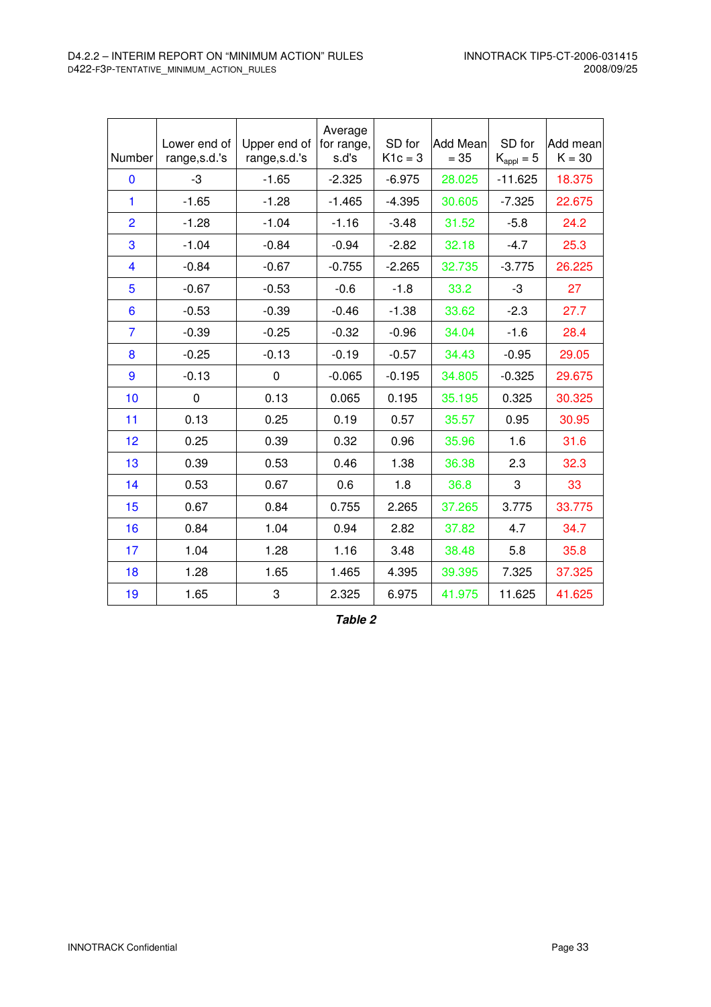| Number         | Lower end of<br>range, s.d.'s | Upper end of<br>range, s.d.'s | Average<br>for range,<br>s.d's | SD for<br>$K1c = 3$ | <b>Add Mean</b><br>$= 35$ | SD for<br>$K_{\text{appl}} = 5$ | Add mean<br>$K = 30$ |
|----------------|-------------------------------|-------------------------------|--------------------------------|---------------------|---------------------------|---------------------------------|----------------------|
| 0              | -3                            | $-1.65$                       | $-2.325$                       | $-6.975$            | 28.025                    | $-11.625$                       | 18.375               |
| 1              | $-1.65$                       | $-1.28$                       | $-1.465$                       | $-4.395$            | 30.605                    | $-7.325$                        | 22.675               |
| $\overline{2}$ | $-1.28$                       | $-1.04$                       | $-1.16$                        | $-3.48$             | 31.52                     | $-5.8$                          | 24.2                 |
| 3              | $-1.04$                       | $-0.84$                       | $-0.94$                        | $-2.82$             | 32.18                     | $-4.7$                          | 25.3                 |
| 4              | $-0.84$                       | $-0.67$                       | $-0.755$                       | $-2.265$            | 32.735                    | $-3.775$                        | 26.225               |
| 5              | $-0.67$                       | $-0.53$                       | $-0.6$                         | $-1.8$              | 33.2                      | -3                              | 27                   |
| 6              | $-0.53$                       | $-0.39$                       | $-0.46$                        | $-1.38$             | 33.62                     | $-2.3$                          | 27.7                 |
| 7              | $-0.39$                       | $-0.25$                       | $-0.32$                        | $-0.96$             | 34.04                     | $-1.6$                          | 28.4                 |
| 8              | $-0.25$                       | $-0.13$                       | $-0.19$                        | $-0.57$             | 34.43                     | $-0.95$                         | 29.05                |
| 9              | $-0.13$                       | $\mathbf 0$                   | $-0.065$                       | $-0.195$            | 34.805                    | $-0.325$                        | 29.675               |
| 10             | $\mathbf 0$                   | 0.13                          | 0.065                          | 0.195               | 35.195                    | 0.325                           | 30.325               |
| 11             | 0.13                          | 0.25                          | 0.19                           | 0.57                | 35.57                     | 0.95                            | 30.95                |
| 12             | 0.25                          | 0.39                          | 0.32                           | 0.96                | 35.96                     | 1.6                             | 31.6                 |
| 13             | 0.39                          | 0.53                          | 0.46                           | 1.38                | 36.38                     | 2.3                             | 32.3                 |
| 14             | 0.53                          | 0.67                          | 0.6                            | 1.8                 | 36.8                      | 3                               | 33                   |
| 15             | 0.67                          | 0.84                          | 0.755                          | 2.265               | 37.265                    | 3.775                           | 33.775               |
| 16             | 0.84                          | 1.04                          | 0.94                           | 2.82                | 37.82                     | 4.7                             | 34.7                 |
| 17             | 1.04                          | 1.28                          | 1.16                           | 3.48                | 38.48                     | 5.8                             | 35.8                 |
| 18             | 1.28                          | 1.65                          | 1.465                          | 4.395               | 39.395                    | 7.325                           | 37.325               |
| 19             | 1.65                          | 3                             | 2.325                          | 6.975               | 41.975                    | 11.625                          | 41.625               |

**Table 2**